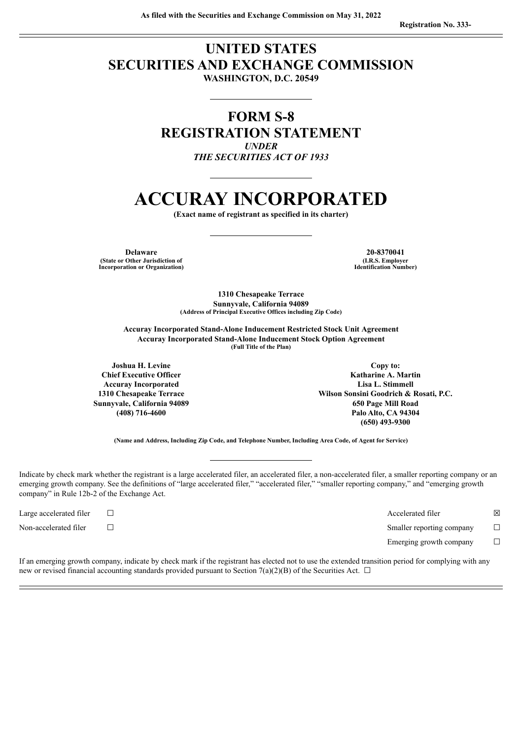# **UNITED STATES SECURITIES AND EXCHANGE COMMISSION WASHINGTON, D.C. 20549**

**FORM S-8 REGISTRATION STATEMENT** *UNDER THE SECURITIES ACT OF 1933*

# **ACCURAY INCORPORATED**

**(Exact name of registrant as specified in its charter)**

**Delaware (State or Other Jurisdiction of Incorporation or Organization)**

**20-8370041 (I.R.S. Employer Identification Number)**

**1310 Chesapeake Terrace Sunnyvale, California 94089 (Address of Principal Executive Offices including Zip Code)**

**Accuray Incorporated Stand-Alone Inducement Restricted Stock Unit Agreement Accuray Incorporated Stand-Alone Inducement Stock Option Agreement (Full Title of the Plan)**

**Joshua H. Levine Chief Executive Officer Accuray Incorporated 1310 Chesapeake Terrace Sunnyvale, California 94089 (408) 716-4600**

**Copy to: Katharine A. Martin Lisa L. Stimmell Wilson Sonsini Goodrich & Rosati, P.C. 650 Page Mill Road Palo Alto, CA 94304 (650) 493-9300**

**(Name and Address, Including Zip Code, and Telephone Number, Including Area Code, of Agent for Service)**

Indicate by check mark whether the registrant is a large accelerated filer, an accelerated filer, a non-accelerated filer, a smaller reporting company or an emerging growth company. See the definitions of "large accelerated filer," "accelerated filer," "smaller reporting company," and "emerging growth company" in Rule 12b-2 of the Exchange Act.

Large accelerated filer ☐ Accelerated filer ☒ Non-accelerated filer ☐ Smaller reporting company ☐ Emerging growth company  $\Box$ 

If an emerging growth company, indicate by check mark if the registrant has elected not to use the extended transition period for complying with any new or revised financial accounting standards provided pursuant to Section 7(a)(2)(B) of the Securities Act.  $\Box$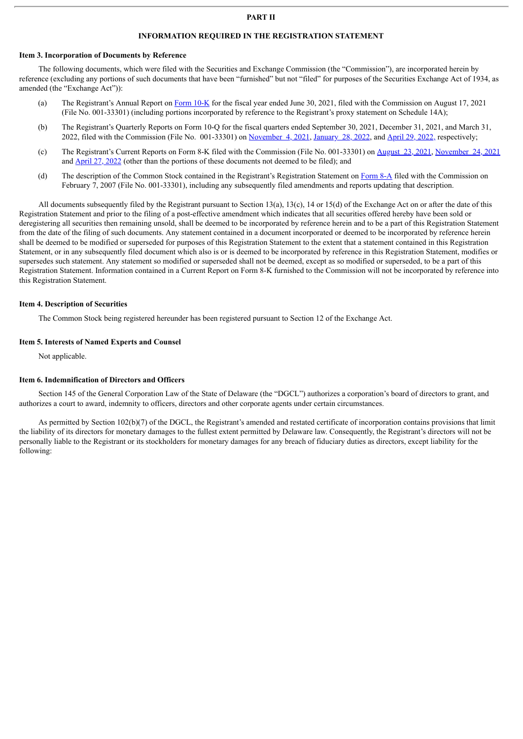#### **PART II**

#### **INFORMATION REQUIRED IN THE REGISTRATION STATEMENT**

#### **Item 3. Incorporation of Documents by Reference**

The following documents, which were filed with the Securities and Exchange Commission (the "Commission"), are incorporated herein by reference (excluding any portions of such documents that have been "furnished" but not "filed" for purposes of the Securities Exchange Act of 1934, as amended (the "Exchange Act")):

- (a) The Registrant's Annual Report on [Form](http://www.sec.gov/ix?doc=/Archives/edgar/data/1138723/000156459021044920/aray-10k_20210630.htm) 10-K for the fiscal year ended June 30, 2021, filed with the Commission on August 17, 2021 (File No. 001-33301) (including portions incorporated by reference to the Registrant's proxy statement on Schedule 14A);
- (b) The Registrant's Quarterly Reports on Form 10-Q for the fiscal quarters ended September 30, 2021, December 31, 2021, and March 31, 2022, filed with the Commission (File No. 001-33301) on [November](http://www.sec.gov/ix?doc=/Archives/edgar/data/1138723/000156459021054472/aray-10q_20210930.htm) 4, 2021, [January](http://www.sec.gov/ix?doc=/Archives/edgar/data/1138723/000095017022000558/aray-20211231.htm) 28, 2022, and April 29, [2022,](http://www.sec.gov/ix?doc=/Archives/edgar/data/1138723/000095017022006717/aray-20220331.htm) respectively;
- (c) The Registrant's Current Reports on Form 8-K filed with the Commission (File No. 001-33301) on [August](http://www.sec.gov/ix?doc=/Archives/edgar/data/1138723/000156459021045412/aray-8k_20210817.htm) 23, 2021, [November](http://www.sec.gov/ix?doc=/Archives/edgar/data/1138723/000156459021058301/aray-8k_20211119.htm) 24, 2021 and [April](http://www.sec.gov/ix?doc=/Archives/edgar/data/1138723/000119312522123616/d329232d8k.htm) 27, 2022 (other than the portions of these documents not deemed to be filed); and
- (d) The description of the Common Stock contained in the Registrant's Registration Statement on [Form](http://www.sec.gov/Archives/edgar/data/1138723/000110465907007766/a07-3619_18a12b.htm) 8-A filed with the Commission on February 7, 2007 (File No. 001-33301), including any subsequently filed amendments and reports updating that description.

All documents subsequently filed by the Registrant pursuant to Section 13(a), 13(c), 14 or 15(d) of the Exchange Act on or after the date of this Registration Statement and prior to the filing of a post-effective amendment which indicates that all securities offered hereby have been sold or deregistering all securities then remaining unsold, shall be deemed to be incorporated by reference herein and to be a part of this Registration Statement from the date of the filing of such documents. Any statement contained in a document incorporated or deemed to be incorporated by reference herein shall be deemed to be modified or superseded for purposes of this Registration Statement to the extent that a statement contained in this Registration Statement, or in any subsequently filed document which also is or is deemed to be incorporated by reference in this Registration Statement, modifies or supersedes such statement. Any statement so modified or superseded shall not be deemed, except as so modified or superseded, to be a part of this Registration Statement. Information contained in a Current Report on Form 8-K furnished to the Commission will not be incorporated by reference into this Registration Statement.

#### **Item 4. Description of Securities**

The Common Stock being registered hereunder has been registered pursuant to Section 12 of the Exchange Act.

#### **Item 5. Interests of Named Experts and Counsel**

Not applicable.

#### **Item 6. Indemnification of Directors and Officers**

Section 145 of the General Corporation Law of the State of Delaware (the "DGCL") authorizes a corporation's board of directors to grant, and authorizes a court to award, indemnity to officers, directors and other corporate agents under certain circumstances.

As permitted by Section 102(b)(7) of the DGCL, the Registrant's amended and restated certificate of incorporation contains provisions that limit the liability of its directors for monetary damages to the fullest extent permitted by Delaware law. Consequently, the Registrant's directors will not be personally liable to the Registrant or its stockholders for monetary damages for any breach of fiduciary duties as directors, except liability for the following: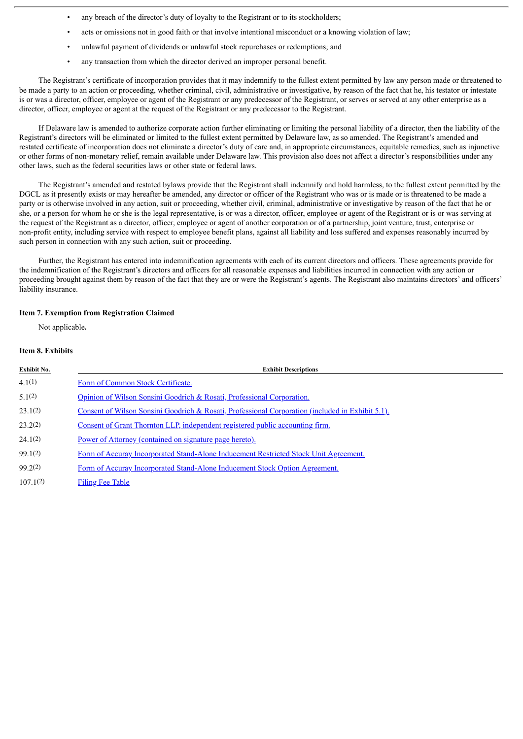- any breach of the director's duty of loyalty to the Registrant or to its stockholders;
- acts or omissions not in good faith or that involve intentional misconduct or a knowing violation of law;
- unlawful payment of dividends or unlawful stock repurchases or redemptions; and
- any transaction from which the director derived an improper personal benefit.

The Registrant's certificate of incorporation provides that it may indemnify to the fullest extent permitted by law any person made or threatened to be made a party to an action or proceeding, whether criminal, civil, administrative or investigative, by reason of the fact that he, his testator or intestate is or was a director, officer, employee or agent of the Registrant or any predecessor of the Registrant, or serves or served at any other enterprise as a director, officer, employee or agent at the request of the Registrant or any predecessor to the Registrant.

If Delaware law is amended to authorize corporate action further eliminating or limiting the personal liability of a director, then the liability of the Registrant's directors will be eliminated or limited to the fullest extent permitted by Delaware law, as so amended. The Registrant's amended and restated certificate of incorporation does not eliminate a director's duty of care and, in appropriate circumstances, equitable remedies, such as injunctive or other forms of non-monetary relief, remain available under Delaware law. This provision also does not affect a director's responsibilities under any other laws, such as the federal securities laws or other state or federal laws.

The Registrant's amended and restated bylaws provide that the Registrant shall indemnify and hold harmless, to the fullest extent permitted by the DGCL as it presently exists or may hereafter be amended, any director or officer of the Registrant who was or is made or is threatened to be made a party or is otherwise involved in any action, suit or proceeding, whether civil, criminal, administrative or investigative by reason of the fact that he or she, or a person for whom he or she is the legal representative, is or was a director, officer, employee or agent of the Registrant or is or was serving at the request of the Registrant as a director, officer, employee or agent of another corporation or of a partnership, joint venture, trust, enterprise or non-profit entity, including service with respect to employee benefit plans, against all liability and loss suffered and expenses reasonably incurred by such person in connection with any such action, suit or proceeding.

Further, the Registrant has entered into indemnification agreements with each of its current directors and officers. These agreements provide for the indemnification of the Registrant's directors and officers for all reasonable expenses and liabilities incurred in connection with any action or proceeding brought against them by reason of the fact that they are or were the Registrant's agents. The Registrant also maintains directors' and officers' liability insurance.

#### **Item 7. Exemption from Registration Claimed**

Not applicable**.**

# **Item 8. Exhibits**

| Exhibit No. | <b>Exhibit Descriptions</b>                                                                      |
|-------------|--------------------------------------------------------------------------------------------------|
| 4.1(1)      | Form of Common Stock Certificate.                                                                |
| 5.1(2)      | Opinion of Wilson Sonsini Goodrich & Rosati, Professional Corporation.                           |
| 23.1(2)     | Consent of Wilson Sonsini Goodrich & Rosati, Professional Corporation (included in Exhibit 5.1). |
| 23.2(2)     | Consent of Grant Thornton LLP, independent registered public accounting firm.                    |
| 24.1(2)     | Power of Attorney (contained on signature page hereto).                                          |
| 99.1(2)     | Form of Accuray Incorporated Stand-Alone Inducement Restricted Stock Unit Agreement.             |
| 99.2(2)     | Form of Accuray Incorporated Stand-Alone Inducement Stock Option Agreement.                      |
| 107.1(2)    | <b>Filing Fee Table</b>                                                                          |
|             |                                                                                                  |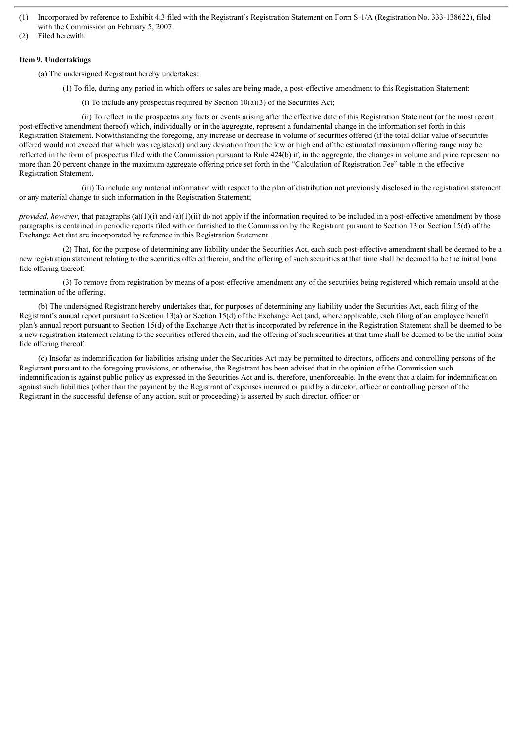- (1) Incorporated by reference to Exhibit 4.3 filed with the Registrant's Registration Statement on Form S-1/A (Registration No. 333-138622), filed with the Commission on February 5, 2007.
- (2) Filed herewith.

# **Item 9. Undertakings**

(a) The undersigned Registrant hereby undertakes:

(1) To file, during any period in which offers or sales are being made, a post-effective amendment to this Registration Statement:

(i) To include any prospectus required by Section  $10(a)(3)$  of the Securities Act;

(ii) To reflect in the prospectus any facts or events arising after the effective date of this Registration Statement (or the most recent post-effective amendment thereof) which, individually or in the aggregate, represent a fundamental change in the information set forth in this Registration Statement. Notwithstanding the foregoing, any increase or decrease in volume of securities offered (if the total dollar value of securities offered would not exceed that which was registered) and any deviation from the low or high end of the estimated maximum offering range may be reflected in the form of prospectus filed with the Commission pursuant to Rule 424(b) if, in the aggregate, the changes in volume and price represent no more than 20 percent change in the maximum aggregate offering price set forth in the "Calculation of Registration Fee" table in the effective Registration Statement.

(iii) To include any material information with respect to the plan of distribution not previously disclosed in the registration statement or any material change to such information in the Registration Statement;

*provided, however*, that paragraphs (a)(1)(i) and (a)(1)(ii) do not apply if the information required to be included in a post-effective amendment by those paragraphs is contained in periodic reports filed with or furnished to the Commission by the Registrant pursuant to Section 13 or Section 15(d) of the Exchange Act that are incorporated by reference in this Registration Statement.

(2) That, for the purpose of determining any liability under the Securities Act, each such post-effective amendment shall be deemed to be a new registration statement relating to the securities offered therein, and the offering of such securities at that time shall be deemed to be the initial bona fide offering thereof.

(3) To remove from registration by means of a post-effective amendment any of the securities being registered which remain unsold at the termination of the offering.

(b) The undersigned Registrant hereby undertakes that, for purposes of determining any liability under the Securities Act, each filing of the Registrant's annual report pursuant to Section 13(a) or Section 15(d) of the Exchange Act (and, where applicable, each filing of an employee benefit plan's annual report pursuant to Section 15(d) of the Exchange Act) that is incorporated by reference in the Registration Statement shall be deemed to be a new registration statement relating to the securities offered therein, and the offering of such securities at that time shall be deemed to be the initial bona fide offering thereof.

(c) Insofar as indemnification for liabilities arising under the Securities Act may be permitted to directors, officers and controlling persons of the Registrant pursuant to the foregoing provisions, or otherwise, the Registrant has been advised that in the opinion of the Commission such indemnification is against public policy as expressed in the Securities Act and is, therefore, unenforceable. In the event that a claim for indemnification against such liabilities (other than the payment by the Registrant of expenses incurred or paid by a director, officer or controlling person of the Registrant in the successful defense of any action, suit or proceeding) is asserted by such director, officer or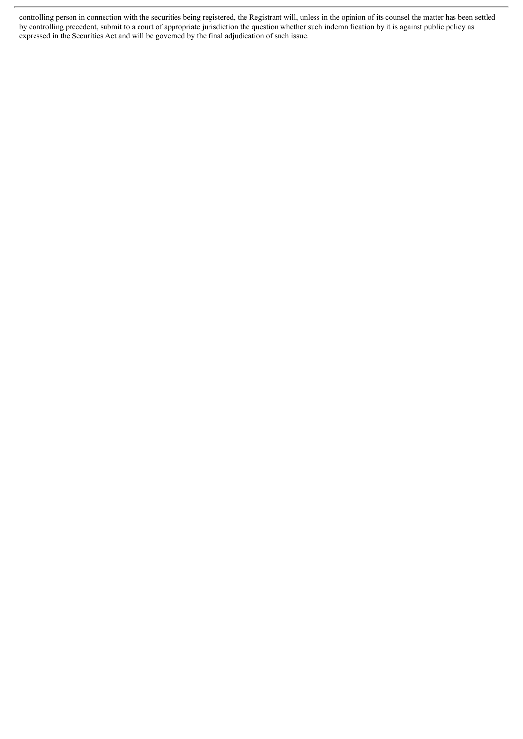controlling person in connection with the securities being registered, the Registrant will, unless in the opinion of its counsel the matter has been settled by controlling precedent, submit to a court of appropriate jurisdiction the question whether such indemnification by it is against public policy as expressed in the Securities Act and will be governed by the final adjudication of such issue.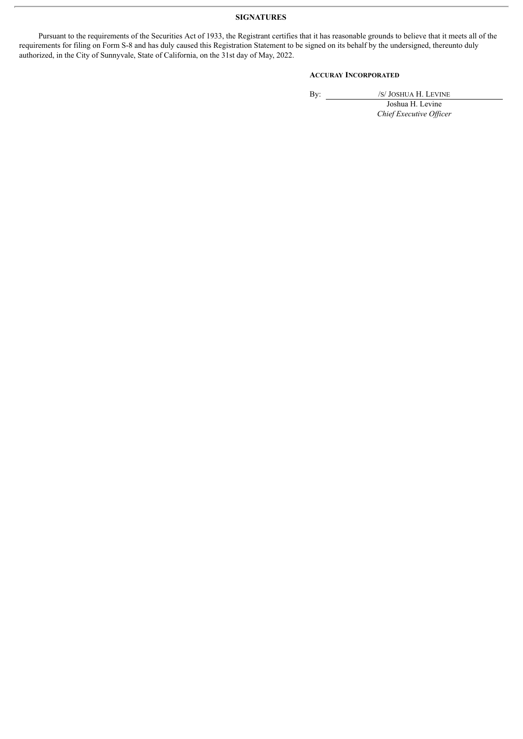# **SIGNATURES**

Pursuant to the requirements of the Securities Act of 1933, the Registrant certifies that it has reasonable grounds to believe that it meets all of the requirements for filing on Form S-8 and has duly caused this Registration Statement to be signed on its behalf by the undersigned, thereunto duly authorized, in the City of Sunnyvale, State of California, on the 31st day of May, 2022.

# **ACCURAY INCORPORATED**

By: /S/ JOSHUA H. LEVINE

Joshua H. Levine *Chief Executive Of icer*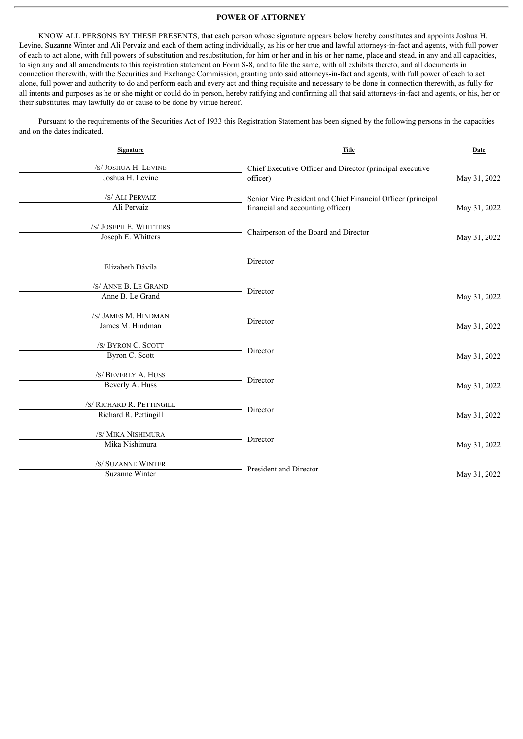# **POWER OF ATTORNEY**

<span id="page-6-0"></span>KNOW ALL PERSONS BY THESE PRESENTS, that each person whose signature appears below hereby constitutes and appoints Joshua H. Levine, Suzanne Winter and Ali Pervaiz and each of them acting individually, as his or her true and lawful attorneys-in-fact and agents, with full power of each to act alone, with full powers of substitution and resubstitution, for him or her and in his or her name, place and stead, in any and all capacities, to sign any and all amendments to this registration statement on Form S-8, and to file the same, with all exhibits thereto, and all documents in connection therewith, with the Securities and Exchange Commission, granting unto said attorneys-in-fact and agents, with full power of each to act alone, full power and authority to do and perform each and every act and thing requisite and necessary to be done in connection therewith, as fully for all intents and purposes as he or she might or could do in person, hereby ratifying and confirming all that said attorneys-in-fact and agents, or his, her or their substitutes, may lawfully do or cause to be done by virtue hereof.

Pursuant to the requirements of the Securities Act of 1933 this Registration Statement has been signed by the following persons in the capacities and on the dates indicated.

| Signature                                          | <b>Title</b>                                                                                      | Date         |
|----------------------------------------------------|---------------------------------------------------------------------------------------------------|--------------|
| /S/ JOSHUA H. LEVINE<br>Joshua H. Levine           | Chief Executive Officer and Director (principal executive<br>officer)                             | May 31, 2022 |
| /S/ ALI PERVAIZ<br>Ali Pervaiz                     | Senior Vice President and Chief Financial Officer (principal<br>financial and accounting officer) | May 31, 2022 |
| /S/ JOSEPH E. WHITTERS<br>Joseph E. Whitters       | Chairperson of the Board and Director                                                             | May 31, 2022 |
| Elizabeth Dávila                                   | Director                                                                                          |              |
| /S/ ANNE B. LE GRAND<br>Anne B. Le Grand           | Director                                                                                          | May 31, 2022 |
| /S/ JAMES M. HINDMAN<br>James M. Hindman           | Director                                                                                          | May 31, 2022 |
| /S/ BYRON C. SCOTT<br>Byron C. Scott               | Director                                                                                          | May 31, 2022 |
| /S/ BEVERLY A. HUSS<br>Beverly A. Huss             | Director                                                                                          | May 31, 2022 |
| /S/ RICHARD R. PETTINGILL<br>Richard R. Pettingill | Director                                                                                          | May 31, 2022 |
| /S/ MIKA NISHIMURA<br>Mika Nishimura               | Director                                                                                          | May 31, 2022 |
| /S/ SUZANNE WINTER<br><b>Suzanne Winter</b>        | President and Director                                                                            | May 31, 2022 |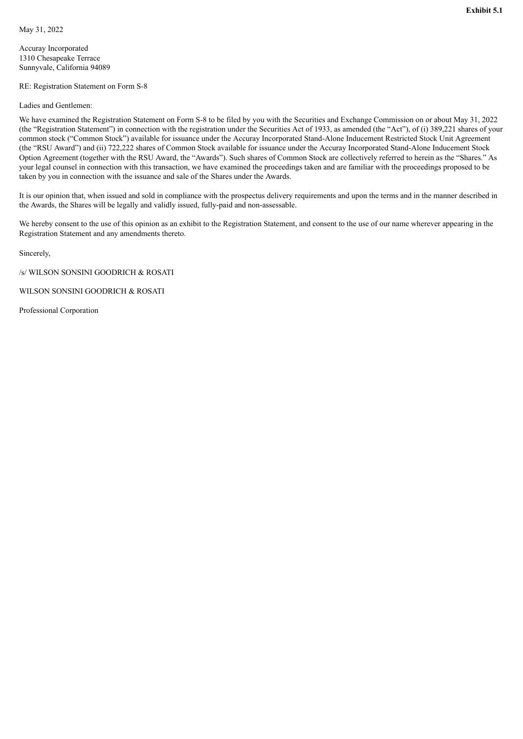<span id="page-7-0"></span>Accuray Incorporated 1310 Chesapeake Terrace Sunnyvale, California 94089

RE: Registration Statement on Form S-8

Ladies and Gentlemen:

We have examined the Registration Statement on Form S-8 to be filed by you with the Securities and Exchange Commission on or about May 31, 2022 (the "Registration Statement") in connection with the registration under the Securities Act of 1933, as amended (the "Act"), of (i) 389,221 shares of your common stock ("Common Stock") available for issuance under the Accuray Incorporated Stand-Alone Inducement Restricted Stock Unit Agreement (the "RSU Award") and (ii) 722,222 shares of Common Stock available for issuance under the Accuray Incorporated Stand-Alone Inducement Stock Option Agreement (together with the RSU Award, the "Awards"). Such shares of Common Stock are collectively referred to herein as the "Shares." As your legal counsel in connection with this transaction, we have examined the proceedings taken and are familiar with the proceedings proposed to be taken by you in connection with the issuance and sale of the Shares under the Awards.

It is our opinion that, when issued and sold in compliance with the prospectus delivery requirements and upon the terms and in the manner described in the Awards, the Shares will be legally and validly issued, fully-paid and non-assessable.

We hereby consent to the use of this opinion as an exhibit to the Registration Statement, and consent to the use of our name wherever appearing in the Registration Statement and any amendments thereto.

Sincerely,

/s/ WILSON SONSINI GOODRICH & ROSATI

WILSON SONSINI GOODRICH & ROSATI

Professional Corporation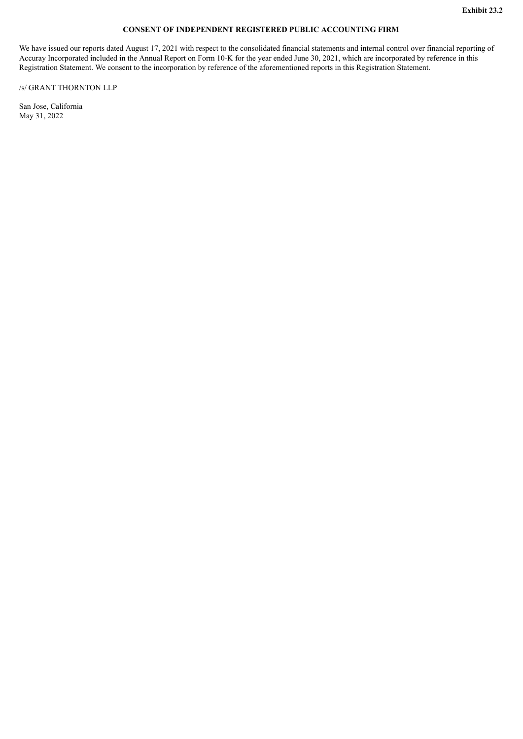# **CONSENT OF INDEPENDENT REGISTERED PUBLIC ACCOUNTING FIRM**

<span id="page-8-0"></span>We have issued our reports dated August 17, 2021 with respect to the consolidated financial statements and internal control over financial reporting of Accuray Incorporated included in the Annual Report on Form 10-K for the year ended June 30, 2021, which are incorporated by reference in this Registration Statement. We consent to the incorporation by reference of the aforementioned reports in this Registration Statement.

/s/ GRANT THORNTON LLP

San Jose, California May 31, 2022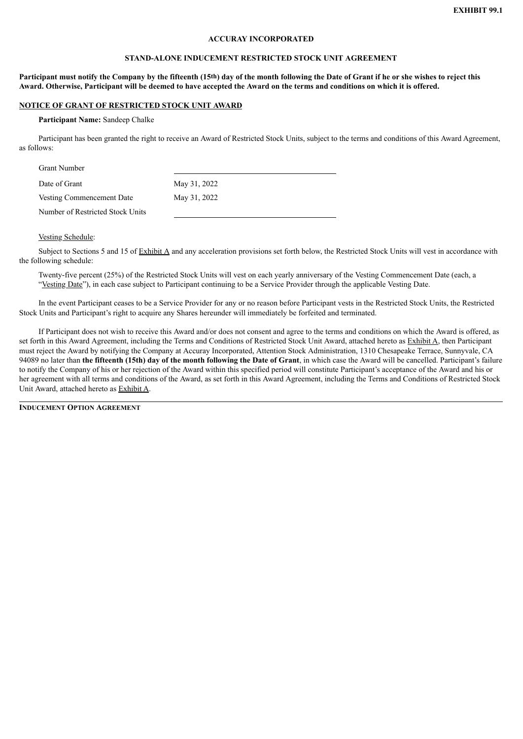# **ACCURAY INCORPORATED**

# **STAND-ALONE INDUCEMENT RESTRICTED STOCK UNIT AGREEMENT**

# <span id="page-9-0"></span>Participant must notify the Company by the fifteenth (15<sup>th</sup>) day of the month following the Date of Grant if he or she wishes to reject this Award. Otherwise, Participant will be deemed to have accepted the Award on the terms and conditions on which it is offered.

#### **NOTICE OF GRANT OF RESTRICTED STOCK UNIT AWARD**

#### **Participant Name:** Sandeep Chalke

Participant has been granted the right to receive an Award of Restricted Stock Units, subject to the terms and conditions of this Award Agreement, as follows:

| <b>Grant Number</b>              |              |
|----------------------------------|--------------|
| Date of Grant                    | May 31, 2022 |
| Vesting Commencement Date        | May 31, 2022 |
| Number of Restricted Stock Units |              |

# Vesting Schedule:

Subject to Sections 5 and 15 of Exhibit A and any acceleration provisions set forth below, the Restricted Stock Units will vest in accordance with the following schedule:

Twenty-five percent (25%) of the Restricted Stock Units will vest on each yearly anniversary of the Vesting Commencement Date (each, a "Vesting Date"), in each case subject to Participant continuing to be a Service Provider through the applicable Vesting Date.

In the event Participant ceases to be a Service Provider for any or no reason before Participant vests in the Restricted Stock Units, the Restricted Stock Units and Participant's right to acquire any Shares hereunder will immediately be forfeited and terminated.

If Participant does not wish to receive this Award and/or does not consent and agree to the terms and conditions on which the Award is offered, as set forth in this Award Agreement, including the Terms and Conditions of Restricted Stock Unit Award, attached hereto as Exhibit A, then Participant must reject the Award by notifying the Company at Accuray Incorporated, Attention Stock Administration, 1310 Chesapeake Terrace, Sunnyvale, CA 94089 no later than the fifteenth (15th) day of the month following the Date of Grant, in which case the Award will be cancelled. Participant's failure to notify the Company of his or her rejection of the Award within this specified period will constitute Participant's acceptance of the Award and his or her agreement with all terms and conditions of the Award, as set forth in this Award Agreement, including the Terms and Conditions of Restricted Stock Unit Award, attached hereto as Exhibit A.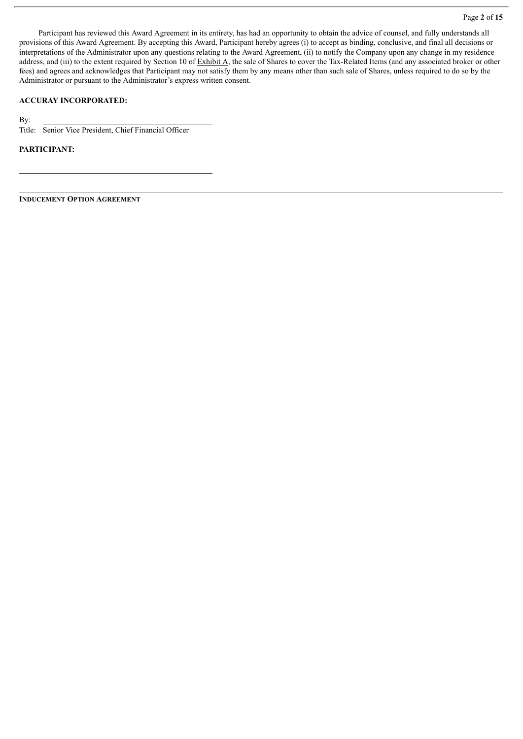#### Page **2** of **15**

Participant has reviewed this Award Agreement in its entirety, has had an opportunity to obtain the advice of counsel, and fully understands all provisions of this Award Agreement. By accepting this Award, Participant hereby agrees (i) to accept as binding, conclusive, and final all decisions or interpretations of the Administrator upon any questions relating to the Award Agreement, (ii) to notify the Company upon any change in my residence address, and (iii) to the extent required by Section 10 of  $\frac{Exhibit A}{A}$ , the sale of Shares to cover the Tax-Related Items (and any associated broker or other fees) and agrees and acknowledges that Participant may not satisfy them by any means other than such sale of Shares, unless required to do so by the Administrator or pursuant to the Administrator's express written consent.

# **ACCURAY INCORPORATED:**

By:

Title: Senior Vice President, Chief Financial Officer

# **PARTICIPANT:**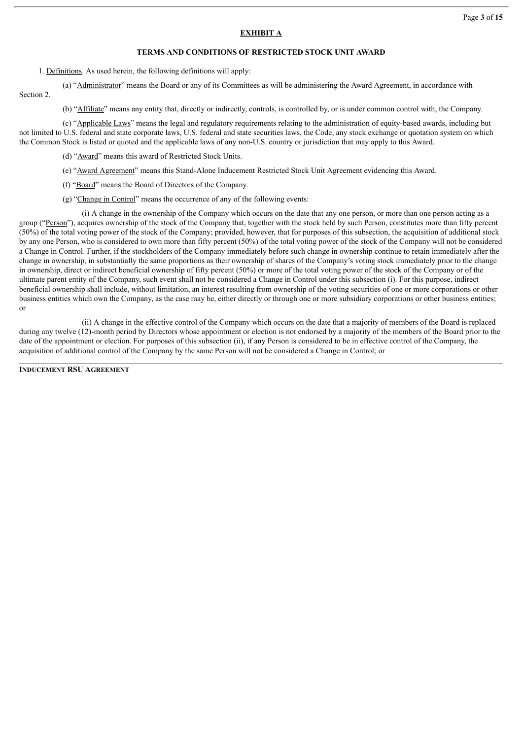# **EXHIBIT A**

# **TERMS AND CONDITIONS OF RESTRICTED STOCK UNIT AWARD**

1. Definitions. As used herein, the following definitions will apply:

(a) "Administrator" means the Board or any of its Committees as will be administering the Award Agreement, in accordance with Section 2.

(b) "Affiliate" means any entity that, directly or indirectly, controls, is controlled by, or is under common control with, the Company.

(c) "Applicable Laws" means the legal and regulatory requirements relating to the administration of equity-based awards, including but not limited to U.S. federal and state corporate laws, U.S. federal and state securities laws, the Code, any stock exchange or quotation system on which the Common Stock is listed or quoted and the applicable laws of any non-U.S. country or jurisdiction that may apply to this Award.

(d) "Award" means this award of Restricted Stock Units.

- (e) "Award Agreement" means this Stand-Alone Inducement Restricted Stock Unit Agreement evidencing this Award.
- (f) "Board" means the Board of Directors of the Company.
- (g) "Change in Control" means the occurrence of any of the following events:

(i) A change in the ownership of the Company which occurs on the date that any one person, or more than one person acting as a group ("Person"), acquires ownership of the stock of the Company that, together with the stock held by such Person, constitutes more than fifty percent (50%) of the total voting power of the stock of the Company; provided, however, that for purposes of this subsection, the acquisition of additional stock by any one Person, who is considered to own more than fifty percent (50%) of the total voting power of the stock of the Company will not be considered a Change in Control. Further, if the stockholders of the Company immediately before such change in ownership continue to retain immediately after the change in ownership, in substantially the same proportions as their ownership of shares of the Company's voting stock immediately prior to the change in ownership, direct or indirect beneficial ownership of fifty percent (50%) or more of the total voting power of the stock of the Company or of the ultimate parent entity of the Company, such event shall not be considered a Change in Control under this subsection (i). For this purpose, indirect beneficial ownership shall include, without limitation, an interest resulting from ownership of the voting securities of one or more corporations or other business entities which own the Company, as the case may be, either directly or through one or more subsidiary corporations or other business entities; or

(ii) A change in the effective control of the Company which occurs on the date that a majority of members of the Board is replaced during any twelve (12)-month period by Directors whose appointment or election is not endorsed by a majority of the members of the Board prior to the date of the appointment or election. For purposes of this subsection (ii), if any Person is considered to be in effective control of the Company, the acquisition of additional control of the Company by the same Person will not be considered a Change in Control; or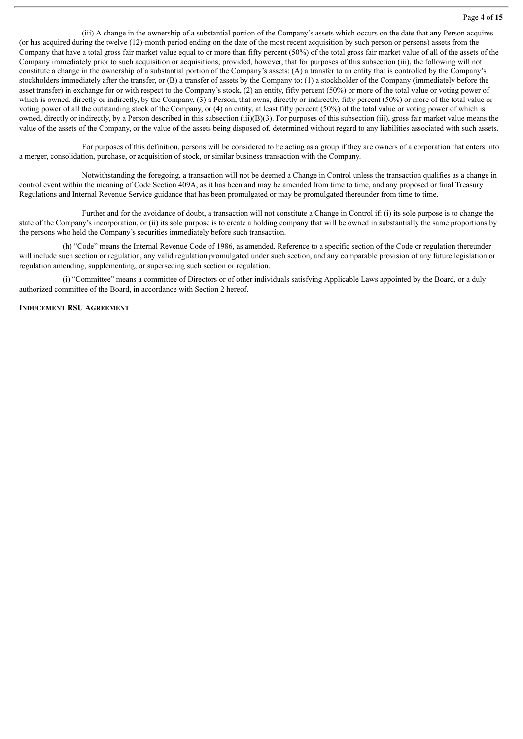(iii) A change in the ownership of a substantial portion of the Company's assets which occurs on the date that any Person acquires (or has acquired during the twelve (12)-month period ending on the date of the most recent acquisition by such person or persons) assets from the Company that have a total gross fair market value equal to or more than fifty percent (50%) of the total gross fair market value of all of the assets of the Company immediately prior to such acquisition or acquisitions; provided, however, that for purposes of this subsection (iii), the following will not constitute a change in the ownership of a substantial portion of the Company's assets: (A) a transfer to an entity that is controlled by the Company's stockholders immediately after the transfer, or (B) a transfer of assets by the Company to: (1) a stockholder of the Company (immediately before the asset transfer) in exchange for or with respect to the Company's stock, (2) an entity, fifty percent (50%) or more of the total value or voting power of which is owned, directly or indirectly, by the Company, (3) a Person, that owns, directly or indirectly, fifty percent (50%) or more of the total value or voting power of all the outstanding stock of the Company, or (4) an entity, at least fifty percent (50%) of the total value or voting power of which is owned, directly or indirectly, by a Person described in this subsection (iii)(B)(3). For purposes of this subsection (iii), gross fair market value means the value of the assets of the Company, or the value of the assets being disposed of, determined without regard to any liabilities associated with such assets.

For purposes of this definition, persons will be considered to be acting as a group if they are owners of a corporation that enters into a merger, consolidation, purchase, or acquisition of stock, or similar business transaction with the Company.

Notwithstanding the foregoing, a transaction will not be deemed a Change in Control unless the transaction qualifies as a change in control event within the meaning of Code Section 409A, as it has been and may be amended from time to time, and any proposed or final Treasury Regulations and Internal Revenue Service guidance that has been promulgated or may be promulgated thereunder from time to time.

Further and for the avoidance of doubt, a transaction will not constitute a Change in Control if: (i) its sole purpose is to change the state of the Company's incorporation, or (ii) its sole purpose is to create a holding company that will be owned in substantially the same proportions by the persons who held the Company's securities immediately before such transaction.

(h) "Code" means the Internal Revenue Code of 1986, as amended. Reference to a specific section of the Code or regulation thereunder will include such section or regulation, any valid regulation promulgated under such section, and any comparable provision of any future legislation or regulation amending, supplementing, or superseding such section or regulation.

(i) "Committee" means a committee of Directors or of other individuals satisfying Applicable Laws appointed by the Board, or a duly authorized committee of the Board, in accordance with Section 2 hereof.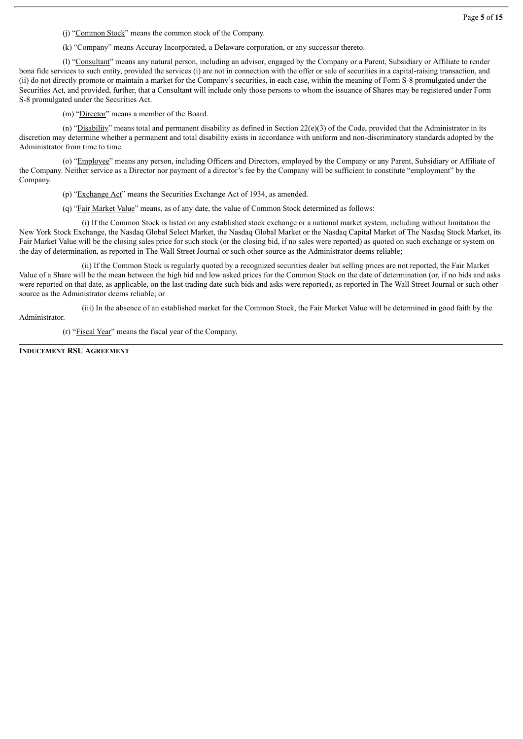(j) "Common Stock" means the common stock of the Company.

(k) "Company" means Accuray Incorporated, a Delaware corporation, or any successor thereto.

(l) "Consultant" means any natural person, including an advisor, engaged by the Company or a Parent, Subsidiary or Affiliate to render bona fide services to such entity, provided the services (i) are not in connection with the offer or sale of securities in a capital-raising transaction, and (ii) do not directly promote or maintain a market for the Company's securities, in each case, within the meaning of Form S-8 promulgated under the Securities Act, and provided, further, that a Consultant will include only those persons to whom the issuance of Shares may be registered under Form S-8 promulgated under the Securities Act.

(m) "Director" means a member of the Board.

(n) "Disability" means total and permanent disability as defined in Section 22(e)(3) of the Code, provided that the Administrator in its discretion may determine whether a permanent and total disability exists in accordance with uniform and non-discriminatory standards adopted by the Administrator from time to time.

(o) "Employee" means any person, including Officers and Directors, employed by the Company or any Parent, Subsidiary or Affiliate of the Company. Neither service as a Director nor payment of a director's fee by the Company will be sufficient to constitute "employment" by the Company.

(p) "Exchange Act" means the Securities Exchange Act of 1934, as amended.

(q) "Fair Market Value" means, as of any date, the value of Common Stock determined as follows:

(i) If the Common Stock is listed on any established stock exchange or a national market system, including without limitation the New York Stock Exchange, the Nasdaq Global Select Market, the Nasdaq Global Market or the Nasdaq Capital Market of The Nasdaq Stock Market, its Fair Market Value will be the closing sales price for such stock (or the closing bid, if no sales were reported) as quoted on such exchange or system on the day of determination, as reported in The Wall Street Journal or such other source as the Administrator deems reliable;

(ii) If the Common Stock is regularly quoted by a recognized securities dealer but selling prices are not reported, the Fair Market Value of a Share will be the mean between the high bid and low asked prices for the Common Stock on the date of determination (or, if no bids and asks were reported on that date, as applicable, on the last trading date such bids and asks were reported), as reported in The Wall Street Journal or such other source as the Administrator deems reliable; or

(iii) In the absence of an established market for the Common Stock, the Fair Market Value will be determined in good faith by the

Administrator.

(r) "Fiscal Year" means the fiscal year of the Company.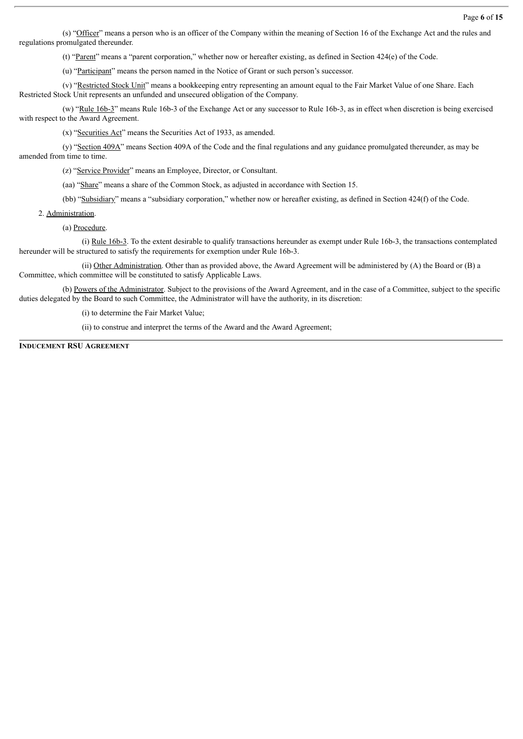(s) "Officer" means a person who is an officer of the Company within the meaning of Section 16 of the Exchange Act and the rules and regulations promulgated thereunder.

(t) "Parent" means a "parent corporation," whether now or hereafter existing, as defined in Section 424(e) of the Code.

(u) "Participant" means the person named in the Notice of Grant or such person's successor.

(v) "Restricted Stock Unit" means a bookkeeping entry representing an amount equal to the Fair Market Value of one Share. Each Restricted Stock Unit represents an unfunded and unsecured obligation of the Company.

(w) "Rule 16b-3" means Rule 16b-3 of the Exchange Act or any successor to Rule 16b-3, as in effect when discretion is being exercised with respect to the Award Agreement.

(x) "Securities Act" means the Securities Act of 1933, as amended.

(y) "Section 409A" means Section 409A of the Code and the final regulations and any guidance promulgated thereunder, as may be amended from time to time.

(z) "Service Provider" means an Employee, Director, or Consultant.

(aa) "Share" means a share of the Common Stock, as adjusted in accordance with Section 15.

(bb) "Subsidiary" means a "subsidiary corporation," whether now or hereafter existing, as defined in Section 424(f) of the Code.

#### 2. Administration.

(a) Procedure.

(i) Rule 16b-3. To the extent desirable to qualify transactions hereunder as exempt under Rule 16b-3, the transactions contemplated hereunder will be structured to satisfy the requirements for exemption under Rule 16b-3.

(ii) Other Administration. Other than as provided above, the Award Agreement will be administered by (A) the Board or (B) a Committee, which committee will be constituted to satisfy Applicable Laws.

(b) Powers of the Administrator. Subject to the provisions of the Award Agreement, and in the case of a Committee, subject to the specific duties delegated by the Board to such Committee, the Administrator will have the authority, in its discretion:

(i) to determine the Fair Market Value;

(ii) to construe and interpret the terms of the Award and the Award Agreement;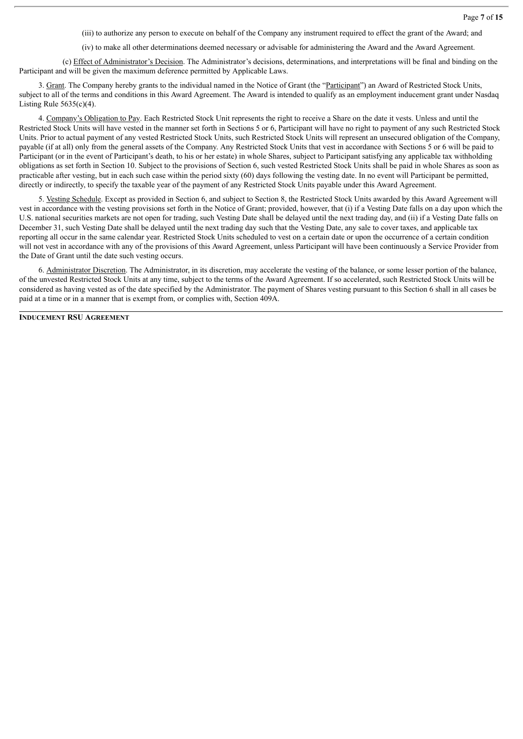Page **7** of **15**

(iii) to authorize any person to execute on behalf of the Company any instrument required to effect the grant of the Award; and

(iv) to make all other determinations deemed necessary or advisable for administering the Award and the Award Agreement.

(c) Effect of Administrator's Decision. The Administrator's decisions, determinations, and interpretations will be final and binding on the Participant and will be given the maximum deference permitted by Applicable Laws.

3. Grant. The Company hereby grants to the individual named in the Notice of Grant (the "Participant") an Award of Restricted Stock Units, subject to all of the terms and conditions in this Award Agreement. The Award is intended to qualify as an employment inducement grant under Nasdaq Listing Rule  $5635(c)(4)$ .

4. Company's Obligation to Pay. Each Restricted Stock Unit represents the right to receive a Share on the date it vests. Unless and until the Restricted Stock Units will have vested in the manner set forth in Sections 5 or 6, Participant will have no right to payment of any such Restricted Stock Units. Prior to actual payment of any vested Restricted Stock Units, such Restricted Stock Units will represent an unsecured obligation of the Company, payable (if at all) only from the general assets of the Company. Any Restricted Stock Units that vest in accordance with Sections 5 or 6 will be paid to Participant (or in the event of Participant's death, to his or her estate) in whole Shares, subject to Participant satisfying any applicable tax withholding obligations as set forth in Section 10. Subject to the provisions of Section 6, such vested Restricted Stock Units shall be paid in whole Shares as soon as practicable after vesting, but in each such case within the period sixty (60) days following the vesting date. In no event will Participant be permitted, directly or indirectly, to specify the taxable year of the payment of any Restricted Stock Units payable under this Award Agreement.

5. Vesting Schedule. Except as provided in Section 6, and subject to Section 8, the Restricted Stock Units awarded by this Award Agreement will vest in accordance with the vesting provisions set forth in the Notice of Grant; provided, however, that (i) if a Vesting Date falls on a day upon which the U.S. national securities markets are not open for trading, such Vesting Date shall be delayed until the next trading day, and (ii) if a Vesting Date falls on December 31, such Vesting Date shall be delayed until the next trading day such that the Vesting Date, any sale to cover taxes, and applicable tax reporting all occur in the same calendar year. Restricted Stock Units scheduled to vest on a certain date or upon the occurrence of a certain condition will not vest in accordance with any of the provisions of this Award Agreement, unless Participant will have been continuously a Service Provider from the Date of Grant until the date such vesting occurs.

6. Administrator Discretion. The Administrator, in its discretion, may accelerate the vesting of the balance, or some lesser portion of the balance, of the unvested Restricted Stock Units at any time, subject to the terms of the Award Agreement. If so accelerated, such Restricted Stock Units will be considered as having vested as of the date specified by the Administrator. The payment of Shares vesting pursuant to this Section 6 shall in all cases be paid at a time or in a manner that is exempt from, or complies with, Section 409A.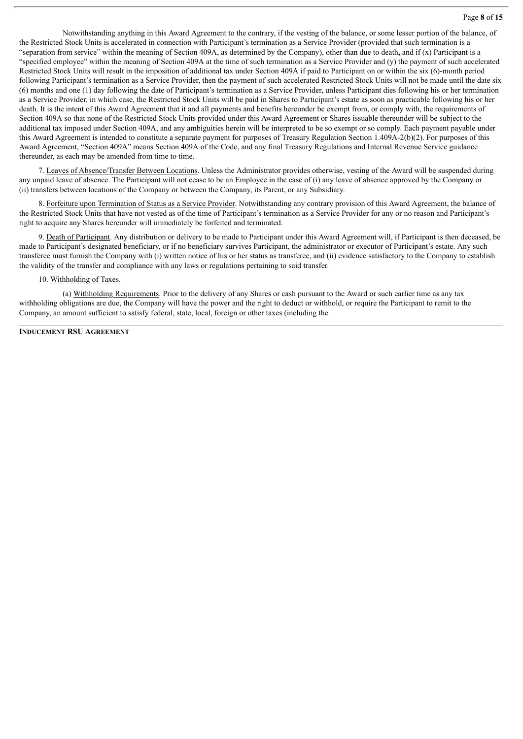Notwithstanding anything in this Award Agreement to the contrary, if the vesting of the balance, or some lesser portion of the balance, of the Restricted Stock Units is accelerated in connection with Participant's termination as a Service Provider (provided that such termination is a "separation from service" within the meaning of Section 409A, as determined by the Company), other than due to death**,** and if (x) Participant is a "specified employee" within the meaning of Section 409A at the time of such termination as a Service Provider and (y) the payment of such accelerated Restricted Stock Units will result in the imposition of additional tax under Section 409A if paid to Participant on or within the six (6)-month period following Participant's termination as a Service Provider, then the payment of such accelerated Restricted Stock Units will not be made until the date six (6) months and one (1) day following the date of Participant's termination as a Service Provider, unless Participant dies following his or her termination as a Service Provider, in which case, the Restricted Stock Units will be paid in Shares to Participant's estate as soon as practicable following his or her death. It is the intent of this Award Agreement that it and all payments and benefits hereunder be exempt from, or comply with, the requirements of Section 409A so that none of the Restricted Stock Units provided under this Award Agreement or Shares issuable thereunder will be subject to the additional tax imposed under Section 409A, and any ambiguities herein will be interpreted to be so exempt or so comply. Each payment payable under this Award Agreement is intended to constitute a separate payment for purposes of Treasury Regulation Section 1.409A-2(b)(2). For purposes of this Award Agreement, "Section 409A" means Section 409A of the Code, and any final Treasury Regulations and Internal Revenue Service guidance thereunder, as each may be amended from time to time.

7. Leaves of Absence/Transfer Between Locations. Unless the Administrator provides otherwise, vesting of the Award will be suspended during any unpaid leave of absence. The Participant will not cease to be an Employee in the case of (i) any leave of absence approved by the Company or (ii) transfers between locations of the Company or between the Company, its Parent, or any Subsidiary.

8. Forfeiture upon Termination of Status as a Service Provider. Notwithstanding any contrary provision of this Award Agreement, the balance of the Restricted Stock Units that have not vested as of the time of Participant's termination as a Service Provider for any or no reason and Participant's right to acquire any Shares hereunder will immediately be forfeited and terminated.

9. Death of Participant. Any distribution or delivery to be made to Participant under this Award Agreement will, if Participant is then deceased, be made to Participant's designated beneficiary, or if no beneficiary survives Participant, the administrator or executor of Participant's estate. Any such transferee must furnish the Company with (i) written notice of his or her status as transferee, and (ii) evidence satisfactory to the Company to establish the validity of the transfer and compliance with any laws or regulations pertaining to said transfer.

# 10. Withholding of Taxes.

(a) Withholding Requirements. Prior to the delivery of any Shares or cash pursuant to the Award or such earlier time as any tax withholding obligations are due, the Company will have the power and the right to deduct or withhold, or require the Participant to remit to the Company, an amount sufficient to satisfy federal, state, local, foreign or other taxes (including the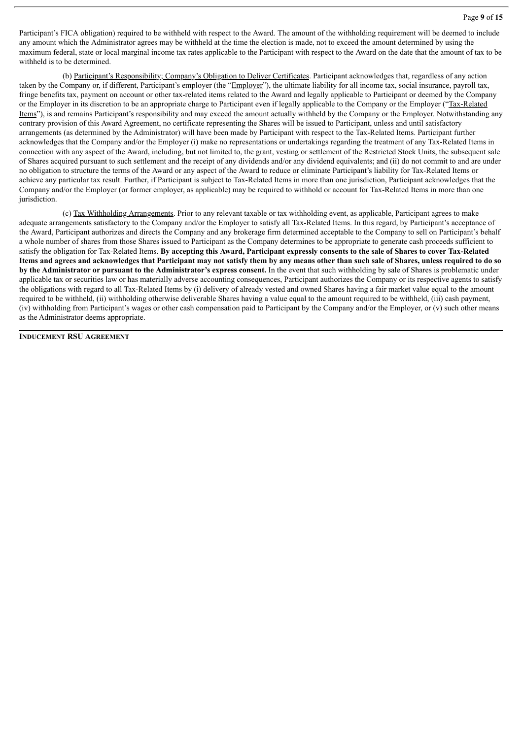Participant's FICA obligation) required to be withheld with respect to the Award. The amount of the withholding requirement will be deemed to include any amount which the Administrator agrees may be withheld at the time the election is made, not to exceed the amount determined by using the maximum federal, state or local marginal income tax rates applicable to the Participant with respect to the Award on the date that the amount of tax to be withheld is to be determined.

(b) Participant's Responsibility; Company's Obligation to Deliver Certificates. Participant acknowledges that, regardless of any action taken by the Company or, if different, Participant's employer (the "Employer"), the ultimate liability for all income tax, social insurance, payroll tax, fringe benefits tax, payment on account or other tax-related items related to the Award and legally applicable to Participant or deemed by the Company or the Employer in its discretion to be an appropriate charge to Participant even if legally applicable to the Company or the Employer ("Tax-Related Items"), is and remains Participant's responsibility and may exceed the amount actually withheld by the Company or the Employer. Notwithstanding any contrary provision of this Award Agreement, no certificate representing the Shares will be issued to Participant, unless and until satisfactory arrangements (as determined by the Administrator) will have been made by Participant with respect to the Tax-Related Items. Participant further acknowledges that the Company and/or the Employer (i) make no representations or undertakings regarding the treatment of any Tax-Related Items in connection with any aspect of the Award, including, but not limited to, the grant, vesting or settlement of the Restricted Stock Units, the subsequent sale of Shares acquired pursuant to such settlement and the receipt of any dividends and/or any dividend equivalents; and (ii) do not commit to and are under no obligation to structure the terms of the Award or any aspect of the Award to reduce or eliminate Participant's liability for Tax-Related Items or achieve any particular tax result. Further, if Participant is subject to Tax-Related Items in more than one jurisdiction, Participant acknowledges that the Company and/or the Employer (or former employer, as applicable) may be required to withhold or account for Tax-Related Items in more than one jurisdiction.

(c) Tax Withholding Arrangements. Prior to any relevant taxable or tax withholding event, as applicable, Participant agrees to make adequate arrangements satisfactory to the Company and/or the Employer to satisfy all Tax-Related Items. In this regard, by Participant's acceptance of the Award, Participant authorizes and directs the Company and any brokerage firm determined acceptable to the Company to sell on Participant's behalf a whole number of shares from those Shares issued to Participant as the Company determines to be appropriate to generate cash proceeds sufficient to satisfy the obligation for Tax-Related Items. By accepting this Award, Participant expressly consents to the sale of Shares to cover Tax-Related Items and agrees and acknowledges that Participant may not satisfy them by any means other than such sale of Shares, unless required to do so **by the Administrator or pursuant to the Administrator's express consent.** In the event that such withholding by sale of Shares is problematic under applicable tax or securities law or has materially adverse accounting consequences, Participant authorizes the Company or its respective agents to satisfy the obligations with regard to all Tax-Related Items by (i) delivery of already vested and owned Shares having a fair market value equal to the amount required to be withheld, (ii) withholding otherwise deliverable Shares having a value equal to the amount required to be withheld, (iii) cash payment, (iv) withholding from Participant's wages or other cash compensation paid to Participant by the Company and/or the Employer, or (v) such other means as the Administrator deems appropriate.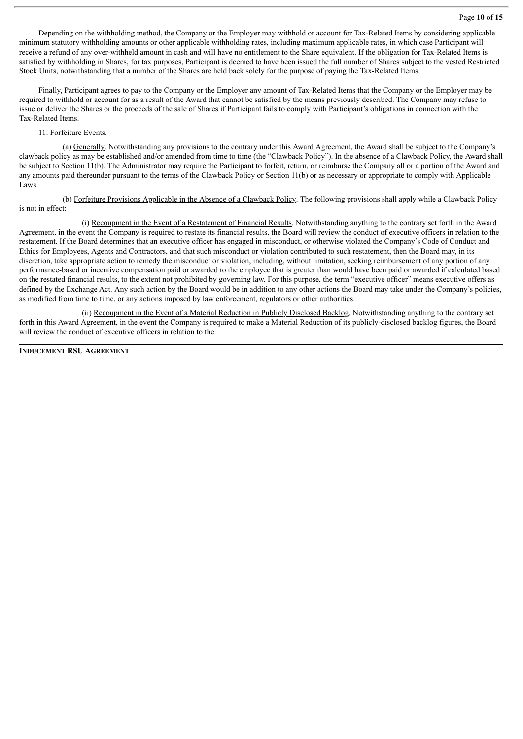Depending on the withholding method, the Company or the Employer may withhold or account for Tax-Related Items by considering applicable minimum statutory withholding amounts or other applicable withholding rates, including maximum applicable rates, in which case Participant will receive a refund of any over-withheld amount in cash and will have no entitlement to the Share equivalent. If the obligation for Tax-Related Items is satisfied by withholding in Shares, for tax purposes, Participant is deemed to have been issued the full number of Shares subject to the vested Restricted Stock Units, notwithstanding that a number of the Shares are held back solely for the purpose of paying the Tax-Related Items.

Finally, Participant agrees to pay to the Company or the Employer any amount of Tax-Related Items that the Company or the Employer may be required to withhold or account for as a result of the Award that cannot be satisfied by the means previously described. The Company may refuse to issue or deliver the Shares or the proceeds of the sale of Shares if Participant fails to comply with Participant's obligations in connection with the Tax-Related Items.

# 11. Forfeiture Events.

(a) Generally. Notwithstanding any provisions to the contrary under this Award Agreement, the Award shall be subject to the Company's clawback policy as may be established and/or amended from time to time (the "Clawback Policy"). In the absence of a Clawback Policy, the Award shall be subject to Section 11(b). The Administrator may require the Participant to forfeit, return, or reimburse the Company all or a portion of the Award and any amounts paid thereunder pursuant to the terms of the Clawback Policy or Section 11(b) or as necessary or appropriate to comply with Applicable Laws.

(b) Forfeiture Provisions Applicable in the Absence of a Clawback Policy. The following provisions shall apply while a Clawback Policy is not in effect:

(i) Recoupment in the Event of a Restatement of Financial Results. Notwithstanding anything to the contrary set forth in the Award Agreement, in the event the Company is required to restate its financial results, the Board will review the conduct of executive officers in relation to the restatement. If the Board determines that an executive officer has engaged in misconduct, or otherwise violated the Company's Code of Conduct and Ethics for Employees, Agents and Contractors, and that such misconduct or violation contributed to such restatement, then the Board may, in its discretion, take appropriate action to remedy the misconduct or violation, including, without limitation, seeking reimbursement of any portion of any performance-based or incentive compensation paid or awarded to the employee that is greater than would have been paid or awarded if calculated based on the restated financial results, to the extent not prohibited by governing law. For this purpose, the term "executive officer" means executive offers as defined by the Exchange Act. Any such action by the Board would be in addition to any other actions the Board may take under the Company's policies, as modified from time to time, or any actions imposed by law enforcement, regulators or other authorities.

(ii) Recoupment in the Event of a Material Reduction in Publicly Disclosed Backlog. Notwithstanding anything to the contrary set forth in this Award Agreement, in the event the Company is required to make a Material Reduction of its publicly-disclosed backlog figures, the Board will review the conduct of executive officers in relation to the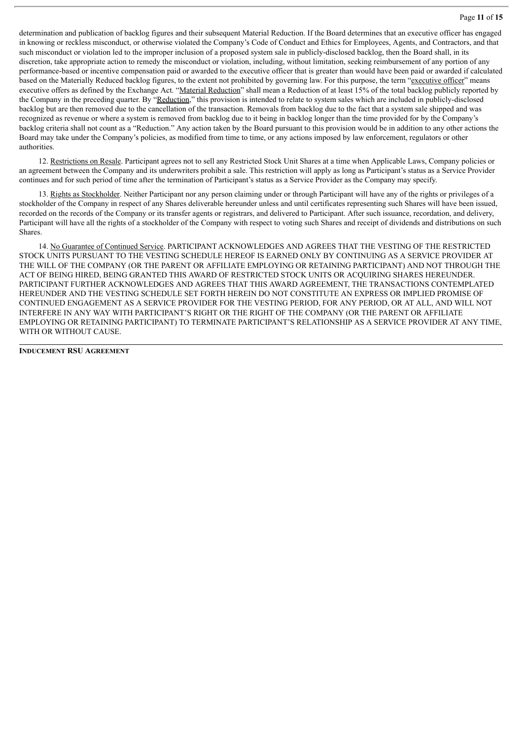determination and publication of backlog figures and their subsequent Material Reduction. If the Board determines that an executive officer has engaged in knowing or reckless misconduct, or otherwise violated the Company's Code of Conduct and Ethics for Employees, Agents, and Contractors, and that such misconduct or violation led to the improper inclusion of a proposed system sale in publicly-disclosed backlog, then the Board shall, in its discretion, take appropriate action to remedy the misconduct or violation, including, without limitation, seeking reimbursement of any portion of any performance-based or incentive compensation paid or awarded to the executive officer that is greater than would have been paid or awarded if calculated based on the Materially Reduced backlog figures, to the extent not prohibited by governing law. For this purpose, the term "executive officer" means executive offers as defined by the Exchange Act. "Material Reduction" shall mean a Reduction of at least 15% of the total backlog publicly reported by the Company in the preceding quarter. By "Reduction," this provision is intended to relate to system sales which are included in publicly-disclosed backlog but are then removed due to the cancellation of the transaction. Removals from backlog due to the fact that a system sale shipped and was recognized as revenue or where a system is removed from backlog due to it being in backlog longer than the time provided for by the Company's backlog criteria shall not count as a "Reduction." Any action taken by the Board pursuant to this provision would be in addition to any other actions the Board may take under the Company's policies, as modified from time to time, or any actions imposed by law enforcement, regulators or other authorities.

12. Restrictions on Resale. Participant agrees not to sell any Restricted Stock Unit Shares at a time when Applicable Laws, Company policies or an agreement between the Company and its underwriters prohibit a sale. This restriction will apply as long as Participant's status as a Service Provider continues and for such period of time after the termination of Participant's status as a Service Provider as the Company may specify.

13. Rights as Stockholder. Neither Participant nor any person claiming under or through Participant will have any of the rights or privileges of a stockholder of the Company in respect of any Shares deliverable hereunder unless and until certificates representing such Shares will have been issued, recorded on the records of the Company or its transfer agents or registrars, and delivered to Participant. After such issuance, recordation, and delivery, Participant will have all the rights of a stockholder of the Company with respect to voting such Shares and receipt of dividends and distributions on such Shares.

14. No Guarantee of Continued Service. PARTICIPANT ACKNOWLEDGES AND AGREES THAT THE VESTING OF THE RESTRICTED STOCK UNITS PURSUANT TO THE VESTING SCHEDULE HEREOF IS EARNED ONLY BY CONTINUING AS A SERVICE PROVIDER AT THE WILL OF THE COMPANY (OR THE PARENT OR AFFILIATE EMPLOYING OR RETAINING PARTICIPANT) AND NOT THROUGH THE ACT OF BEING HIRED, BEING GRANTED THIS AWARD OF RESTRICTED STOCK UNITS OR ACQUIRING SHARES HEREUNDER. PARTICIPANT FURTHER ACKNOWLEDGES AND AGREES THAT THIS AWARD AGREEMENT, THE TRANSACTIONS CONTEMPLATED HEREUNDER AND THE VESTING SCHEDULE SET FORTH HEREIN DO NOT CONSTITUTE AN EXPRESS OR IMPLIED PROMISE OF CONTINUED ENGAGEMENT AS A SERVICE PROVIDER FOR THE VESTING PERIOD, FOR ANY PERIOD, OR AT ALL, AND WILL NOT INTERFERE IN ANY WAY WITH PARTICIPANT'S RIGHT OR THE RIGHT OF THE COMPANY (OR THE PARENT OR AFFILIATE EMPLOYING OR RETAINING PARTICIPANT) TO TERMINATE PARTICIPANT'S RELATIONSHIP AS A SERVICE PROVIDER AT ANY TIME, WITH OR WITHOUT CAUSE.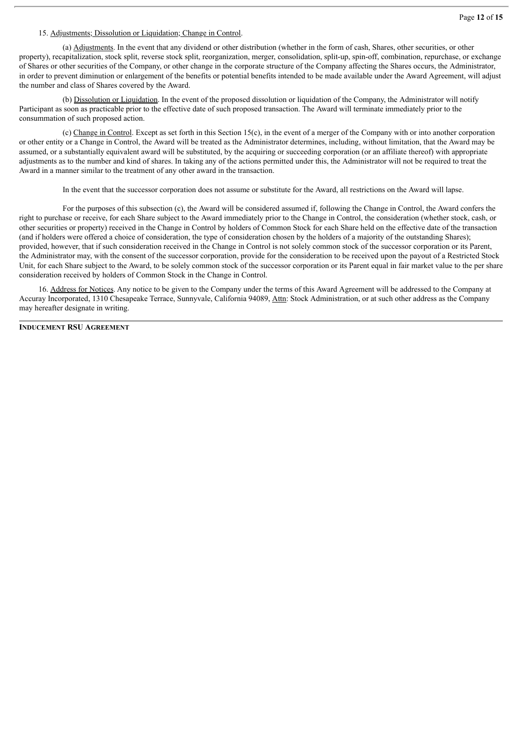# 15. Adjustments; Dissolution or Liquidation; Change in Control.

(a) Adjustments. In the event that any dividend or other distribution (whether in the form of cash, Shares, other securities, or other property), recapitalization, stock split, reverse stock split, reorganization, merger, consolidation, split-up, spin-off, combination, repurchase, or exchange of Shares or other securities of the Company, or other change in the corporate structure of the Company affecting the Shares occurs, the Administrator, in order to prevent diminution or enlargement of the benefits or potential benefits intended to be made available under the Award Agreement, will adjust the number and class of Shares covered by the Award.

(b) Dissolution or Liquidation. In the event of the proposed dissolution or liquidation of the Company, the Administrator will notify Participant as soon as practicable prior to the effective date of such proposed transaction. The Award will terminate immediately prior to the consummation of such proposed action.

(c) Change in Control. Except as set forth in this Section 15(c), in the event of a merger of the Company with or into another corporation or other entity or a Change in Control, the Award will be treated as the Administrator determines, including, without limitation, that the Award may be assumed, or a substantially equivalent award will be substituted, by the acquiring or succeeding corporation (or an affiliate thereof) with appropriate adjustments as to the number and kind of shares. In taking any of the actions permitted under this, the Administrator will not be required to treat the Award in a manner similar to the treatment of any other award in the transaction.

In the event that the successor corporation does not assume or substitute for the Award, all restrictions on the Award will lapse.

For the purposes of this subsection (c), the Award will be considered assumed if, following the Change in Control, the Award confers the right to purchase or receive, for each Share subject to the Award immediately prior to the Change in Control, the consideration (whether stock, cash, or other securities or property) received in the Change in Control by holders of Common Stock for each Share held on the effective date of the transaction (and if holders were offered a choice of consideration, the type of consideration chosen by the holders of a majority of the outstanding Shares); provided, however, that if such consideration received in the Change in Control is not solely common stock of the successor corporation or its Parent, the Administrator may, with the consent of the successor corporation, provide for the consideration to be received upon the payout of a Restricted Stock Unit, for each Share subject to the Award, to be solely common stock of the successor corporation or its Parent equal in fair market value to the per share consideration received by holders of Common Stock in the Change in Control.

16. Address for Notices. Any notice to be given to the Company under the terms of this Award Agreement will be addressed to the Company at Accuray Incorporated, 1310 Chesapeake Terrace, Sunnyvale, California 94089, Attn: Stock Administration, or at such other address as the Company may hereafter designate in writing.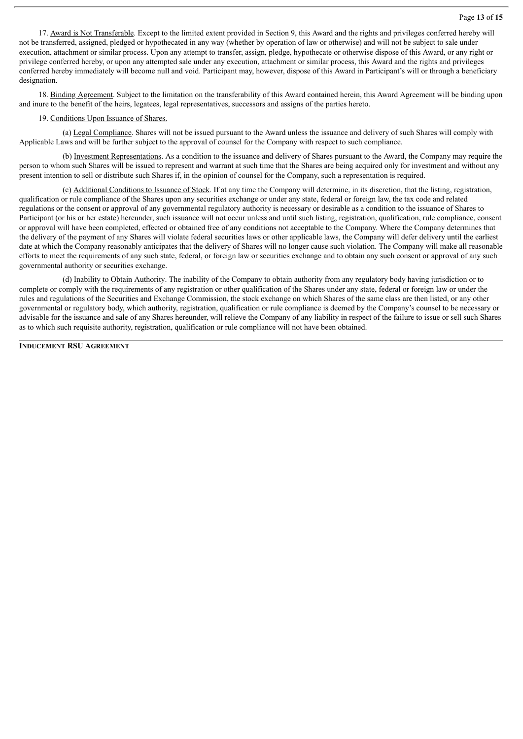17. Award is Not Transferable. Except to the limited extent provided in Section 9, this Award and the rights and privileges conferred hereby will not be transferred, assigned, pledged or hypothecated in any way (whether by operation of law or otherwise) and will not be subject to sale under execution, attachment or similar process. Upon any attempt to transfer, assign, pledge, hypothecate or otherwise dispose of this Award, or any right or privilege conferred hereby, or upon any attempted sale under any execution, attachment or similar process, this Award and the rights and privileges conferred hereby immediately will become null and void. Participant may, however, dispose of this Award in Participant's will or through a beneficiary designation.

18. Binding Agreement. Subject to the limitation on the transferability of this Award contained herein, this Award Agreement will be binding upon and inure to the benefit of the heirs, legatees, legal representatives, successors and assigns of the parties hereto.

#### 19. Conditions Upon Issuance of Shares.

(a) Legal Compliance. Shares will not be issued pursuant to the Award unless the issuance and delivery of such Shares will comply with Applicable Laws and will be further subject to the approval of counsel for the Company with respect to such compliance.

(b) Investment Representations. As a condition to the issuance and delivery of Shares pursuant to the Award, the Company may require the person to whom such Shares will be issued to represent and warrant at such time that the Shares are being acquired only for investment and without any present intention to sell or distribute such Shares if, in the opinion of counsel for the Company, such a representation is required.

(c) Additional Conditions to Issuance of Stock. If at any time the Company will determine, in its discretion, that the listing, registration, qualification or rule compliance of the Shares upon any securities exchange or under any state, federal or foreign law, the tax code and related regulations or the consent or approval of any governmental regulatory authority is necessary or desirable as a condition to the issuance of Shares to Participant (or his or her estate) hereunder, such issuance will not occur unless and until such listing, registration, qualification, rule compliance, consent or approval will have been completed, effected or obtained free of any conditions not acceptable to the Company. Where the Company determines that the delivery of the payment of any Shares will violate federal securities laws or other applicable laws, the Company will defer delivery until the earliest date at which the Company reasonably anticipates that the delivery of Shares will no longer cause such violation. The Company will make all reasonable efforts to meet the requirements of any such state, federal, or foreign law or securities exchange and to obtain any such consent or approval of any such governmental authority or securities exchange.

(d) Inability to Obtain Authority. The inability of the Company to obtain authority from any regulatory body having jurisdiction or to complete or comply with the requirements of any registration or other qualification of the Shares under any state, federal or foreign law or under the rules and regulations of the Securities and Exchange Commission, the stock exchange on which Shares of the same class are then listed, or any other governmental or regulatory body, which authority, registration, qualification or rule compliance is deemed by the Company's counsel to be necessary or advisable for the issuance and sale of any Shares hereunder, will relieve the Company of any liability in respect of the failure to issue or sell such Shares as to which such requisite authority, registration, qualification or rule compliance will not have been obtained.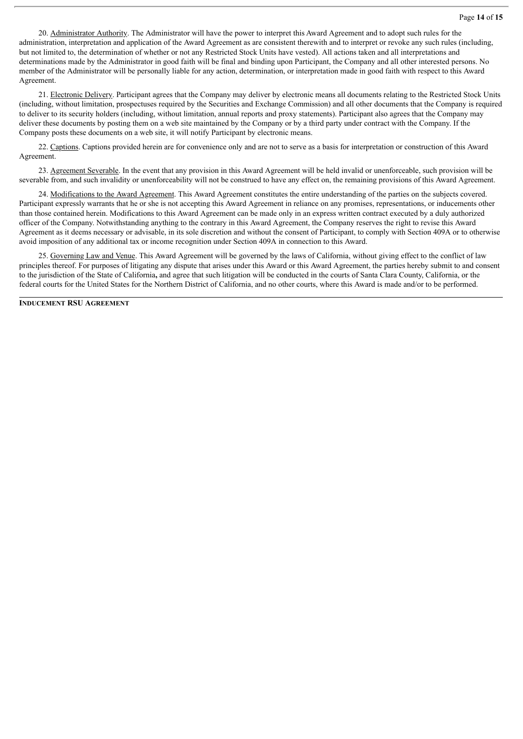20. Administrator Authority. The Administrator will have the power to interpret this Award Agreement and to adopt such rules for the administration, interpretation and application of the Award Agreement as are consistent therewith and to interpret or revoke any such rules (including, but not limited to, the determination of whether or not any Restricted Stock Units have vested). All actions taken and all interpretations and determinations made by the Administrator in good faith will be final and binding upon Participant, the Company and all other interested persons. No member of the Administrator will be personally liable for any action, determination, or interpretation made in good faith with respect to this Award Agreement.

21. Electronic Delivery. Participant agrees that the Company may deliver by electronic means all documents relating to the Restricted Stock Units (including, without limitation, prospectuses required by the Securities and Exchange Commission) and all other documents that the Company is required to deliver to its security holders (including, without limitation, annual reports and proxy statements). Participant also agrees that the Company may deliver these documents by posting them on a web site maintained by the Company or by a third party under contract with the Company. If the Company posts these documents on a web site, it will notify Participant by electronic means.

22. Captions. Captions provided herein are for convenience only and are not to serve as a basis for interpretation or construction of this Award Agreement.

23. Agreement Severable. In the event that any provision in this Award Agreement will be held invalid or unenforceable, such provision will be severable from, and such invalidity or unenforceability will not be construed to have any effect on, the remaining provisions of this Award Agreement.

24. Modifications to the Award Agreement. This Award Agreement constitutes the entire understanding of the parties on the subjects covered. Participant expressly warrants that he or she is not accepting this Award Agreement in reliance on any promises, representations, or inducements other than those contained herein. Modifications to this Award Agreement can be made only in an express written contract executed by a duly authorized officer of the Company. Notwithstanding anything to the contrary in this Award Agreement, the Company reserves the right to revise this Award Agreement as it deems necessary or advisable, in its sole discretion and without the consent of Participant, to comply with Section 409A or to otherwise avoid imposition of any additional tax or income recognition under Section 409A in connection to this Award.

25. Governing Law and Venue. This Award Agreement will be governed by the laws of California, without giving effect to the conflict of law principles thereof. For purposes of litigating any dispute that arises under this Award or this Award Agreement, the parties hereby submit to and consent to the jurisdiction of the State of California**,** and agree that such litigation will be conducted in the courts of Santa Clara County, California, or the federal courts for the United States for the Northern District of California, and no other courts, where this Award is made and/or to be performed.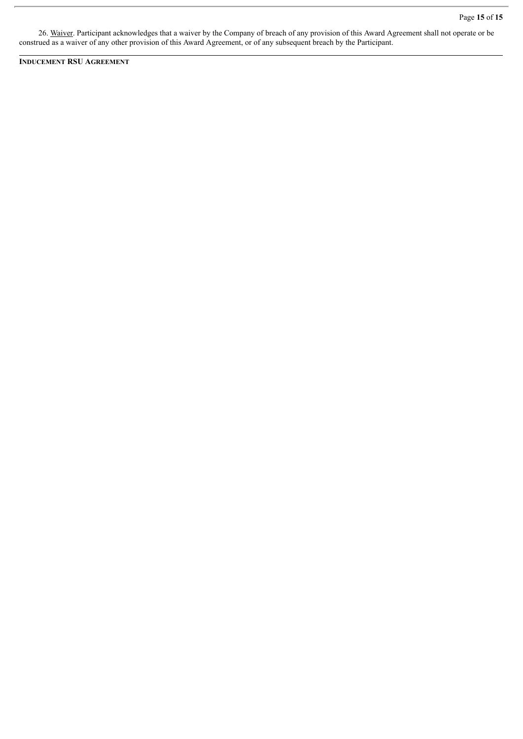26. Waiver. Participant acknowledges that a waiver by the Company of breach of any provision of this Award Agreement shall not operate or be construed as a waiver of any other provision of this Award Agreement, or of any subsequent breach by the Participant.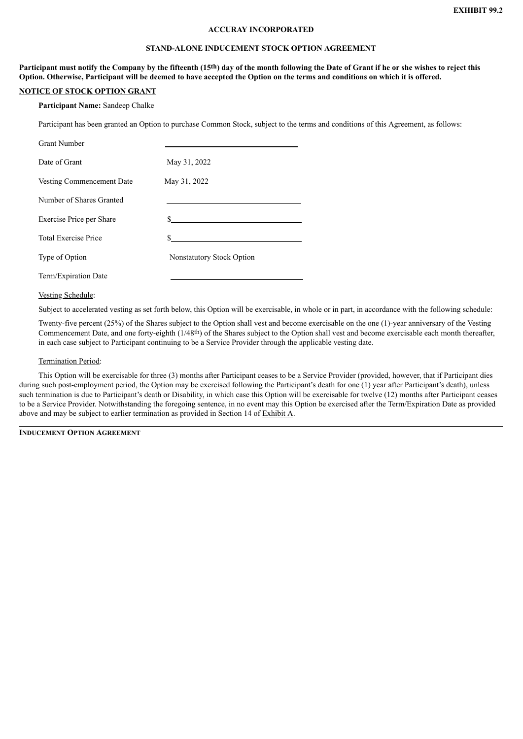#### **ACCURAY INCORPORATED**

#### **STAND-ALONE INDUCEMENT STOCK OPTION AGREEMENT**

<span id="page-24-0"></span>Participant must notify the Company by the fifteenth (15th) day of the month following the Date of Grant if he or she wishes to reject this Option. Otherwise, Participant will be deemed to have accepted the Option on the terms and conditions on which it is offered.

## **NOTICE OF STOCK OPTION GRANT**

**Participant Name:** Sandeep Chalke

Participant has been granted an Option to purchase Common Stock, subject to the terms and conditions of this Agreement, as follows:

| <b>Grant Number</b>         |                                  |
|-----------------------------|----------------------------------|
| Date of Grant               | May 31, 2022                     |
| Vesting Commencement Date   | May 31, 2022                     |
| Number of Shares Granted    |                                  |
| Exercise Price per Share    | S.                               |
| <b>Total Exercise Price</b> | S                                |
| Type of Option              | <b>Nonstatutory Stock Option</b> |
| Term/Expiration Date        |                                  |

Vesting Schedule:

Subject to accelerated vesting as set forth below, this Option will be exercisable, in whole or in part, in accordance with the following schedule:

Twenty-five percent (25%) of the Shares subject to the Option shall vest and become exercisable on the one (1)-year anniversary of the Vesting Commencement Date, and one forty-eighth (1/48th) of the Shares subject to the Option shall vest and become exercisable each month thereafter, in each case subject to Participant continuing to be a Service Provider through the applicable vesting date.

#### Termination Period:

This Option will be exercisable for three (3) months after Participant ceases to be a Service Provider (provided, however, that if Participant dies during such post-employment period, the Option may be exercised following the Participant's death for one (1) year after Participant's death), unless such termination is due to Participant's death or Disability, in which case this Option will be exercisable for twelve (12) months after Participant ceases to be a Service Provider. Notwithstanding the foregoing sentence, in no event may this Option be exercised after the Term/Expiration Date as provided above and may be subject to earlier termination as provided in Section 14 of Exhibit A.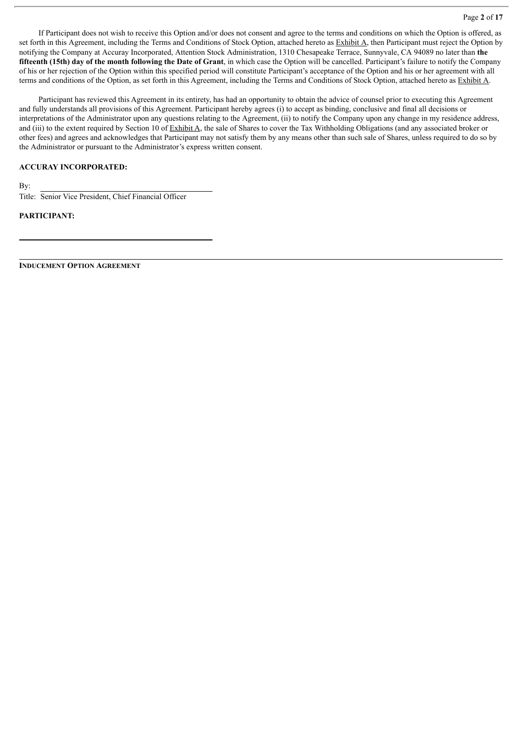If Participant does not wish to receive this Option and/or does not consent and agree to the terms and conditions on which the Option is offered, as set forth in this Agreement, including the Terms and Conditions of Stock Option, attached hereto as Exhibit A, then Participant must reject the Option by notifying the Company at Accuray Incorporated, Attention Stock Administration, 1310 Chesapeake Terrace, Sunnyvale, CA 94089 no later than **the** fifteenth (15th) day of the month following the Date of Grant, in which case the Option will be cancelled. Participant's failure to notify the Company of his or her rejection of the Option within this specified period will constitute Participant's acceptance of the Option and his or her agreement with all terms and conditions of the Option, as set forth in this Agreement, including the Terms and Conditions of Stock Option, attached hereto as Exhibit A.

Participant has reviewed this Agreement in its entirety, has had an opportunity to obtain the advice of counsel prior to executing this Agreement and fully understands all provisions of this Agreement. Participant hereby agrees (i) to accept as binding, conclusive and final all decisions or interpretations of the Administrator upon any questions relating to the Agreement, (ii) to notify the Company upon any change in my residence address, and (iii) to the extent required by Section 10 of Exhibit A, the sale of Shares to cover the Tax Withholding Obligations (and any associated broker or other fees) and agrees and acknowledges that Participant may not satisfy them by any means other than such sale of Shares, unless required to do so by the Administrator or pursuant to the Administrator's express written consent.

## **ACCURAY INCORPORATED:**

By:

Title: Senior Vice President, Chief Financial Officer

#### **PARTICIPANT:**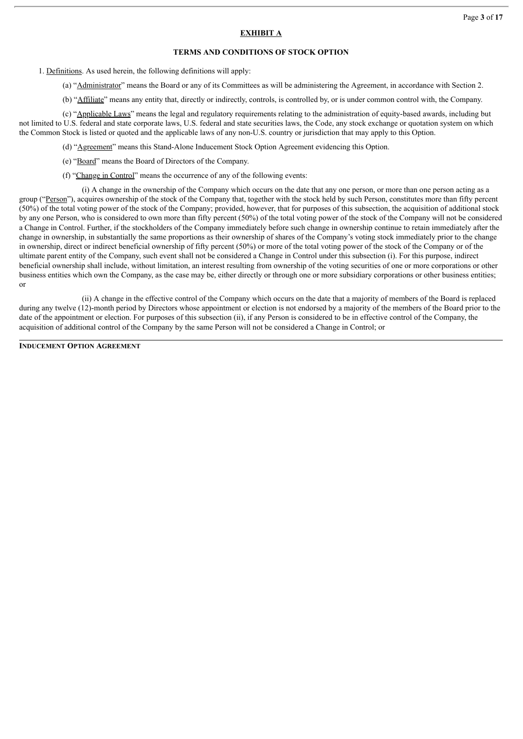# **EXHIBIT A**

# **TERMS AND CONDITIONS OF STOCK OPTION**

1. Definitions. As used herein, the following definitions will apply:

(a) "Administrator" means the Board or any of its Committees as will be administering the Agreement, in accordance with Section 2.

(b) "Affiliate" means any entity that, directly or indirectly, controls, is controlled by, or is under common control with, the Company.

(c) "Applicable Laws" means the legal and regulatory requirements relating to the administration of equity-based awards, including but not limited to U.S. federal and state corporate laws, U.S. federal and state securities laws, the Code, any stock exchange or quotation system on which the Common Stock is listed or quoted and the applicable laws of any non-U.S. country or jurisdiction that may apply to this Option.

(d) "Agreement" means this Stand-Alone Inducement Stock Option Agreement evidencing this Option.

(e) "Board" means the Board of Directors of the Company.

(f) "Change in Control" means the occurrence of any of the following events:

(i) A change in the ownership of the Company which occurs on the date that any one person, or more than one person acting as a group ("Person"), acquires ownership of the stock of the Company that, together with the stock held by such Person, constitutes more than fifty percent (50%) of the total voting power of the stock of the Company; provided, however, that for purposes of this subsection, the acquisition of additional stock by any one Person, who is considered to own more than fifty percent (50%) of the total voting power of the stock of the Company will not be considered a Change in Control. Further, if the stockholders of the Company immediately before such change in ownership continue to retain immediately after the change in ownership, in substantially the same proportions as their ownership of shares of the Company's voting stock immediately prior to the change in ownership, direct or indirect beneficial ownership of fifty percent (50%) or more of the total voting power of the stock of the Company or of the ultimate parent entity of the Company, such event shall not be considered a Change in Control under this subsection (i). For this purpose, indirect beneficial ownership shall include, without limitation, an interest resulting from ownership of the voting securities of one or more corporations or other business entities which own the Company, as the case may be, either directly or through one or more subsidiary corporations or other business entities; or

(ii) A change in the effective control of the Company which occurs on the date that a majority of members of the Board is replaced during any twelve (12)-month period by Directors whose appointment or election is not endorsed by a majority of the members of the Board prior to the date of the appointment or election. For purposes of this subsection (ii), if any Person is considered to be in effective control of the Company, the acquisition of additional control of the Company by the same Person will not be considered a Change in Control; or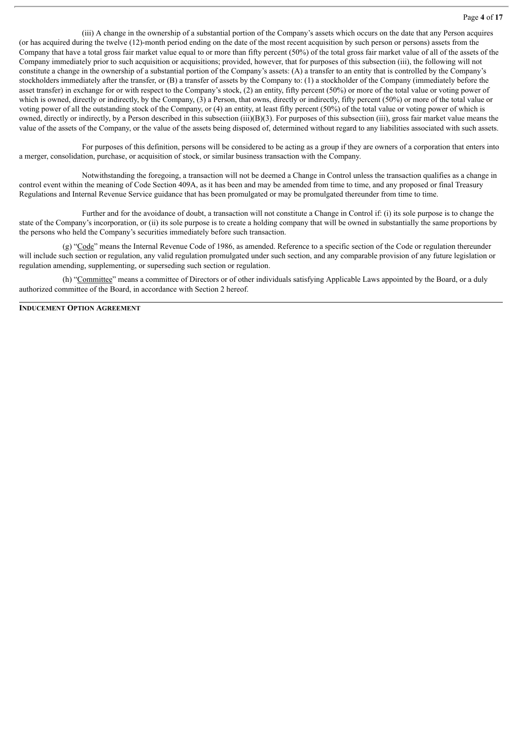(iii) A change in the ownership of a substantial portion of the Company's assets which occurs on the date that any Person acquires (or has acquired during the twelve (12)-month period ending on the date of the most recent acquisition by such person or persons) assets from the Company that have a total gross fair market value equal to or more than fifty percent (50%) of the total gross fair market value of all of the assets of the Company immediately prior to such acquisition or acquisitions; provided, however, that for purposes of this subsection (iii), the following will not constitute a change in the ownership of a substantial portion of the Company's assets: (A) a transfer to an entity that is controlled by the Company's stockholders immediately after the transfer, or (B) a transfer of assets by the Company to: (1) a stockholder of the Company (immediately before the asset transfer) in exchange for or with respect to the Company's stock, (2) an entity, fifty percent (50%) or more of the total value or voting power of which is owned, directly or indirectly, by the Company, (3) a Person, that owns, directly or indirectly, fifty percent (50%) or more of the total value or voting power of all the outstanding stock of the Company, or (4) an entity, at least fifty percent (50%) of the total value or voting power of which is owned, directly or indirectly, by a Person described in this subsection (iii)(B)(3). For purposes of this subsection (iii), gross fair market value means the value of the assets of the Company, or the value of the assets being disposed of, determined without regard to any liabilities associated with such assets.

For purposes of this definition, persons will be considered to be acting as a group if they are owners of a corporation that enters into a merger, consolidation, purchase, or acquisition of stock, or similar business transaction with the Company.

Notwithstanding the foregoing, a transaction will not be deemed a Change in Control unless the transaction qualifies as a change in control event within the meaning of Code Section 409A, as it has been and may be amended from time to time, and any proposed or final Treasury Regulations and Internal Revenue Service guidance that has been promulgated or may be promulgated thereunder from time to time.

Further and for the avoidance of doubt, a transaction will not constitute a Change in Control if: (i) its sole purpose is to change the state of the Company's incorporation, or (ii) its sole purpose is to create a holding company that will be owned in substantially the same proportions by the persons who held the Company's securities immediately before such transaction.

(g) "Code" means the Internal Revenue Code of 1986, as amended. Reference to a specific section of the Code or regulation thereunder will include such section or regulation, any valid regulation promulgated under such section, and any comparable provision of any future legislation or regulation amending, supplementing, or superseding such section or regulation.

(h) "Committee" means a committee of Directors or of other individuals satisfying Applicable Laws appointed by the Board, or a duly authorized committee of the Board, in accordance with Section 2 hereof.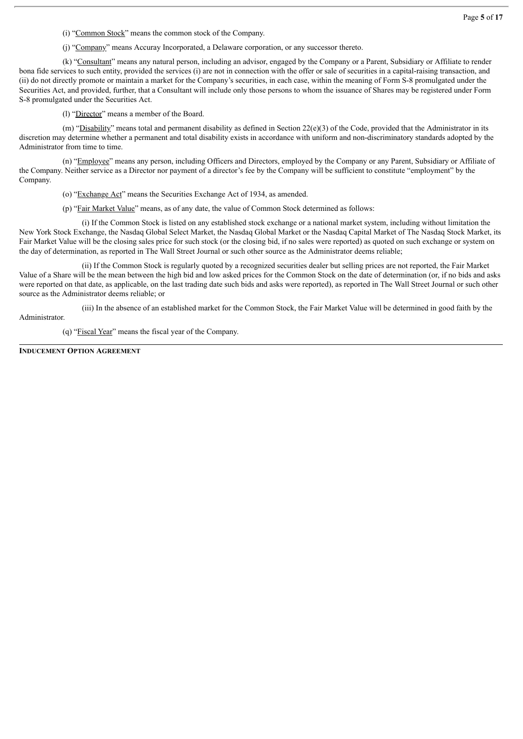(i) "Common Stock" means the common stock of the Company.

(j) "Company" means Accuray Incorporated, a Delaware corporation, or any successor thereto.

(k) "Consultant" means any natural person, including an advisor, engaged by the Company or a Parent, Subsidiary or Affiliate to render bona fide services to such entity, provided the services (i) are not in connection with the offer or sale of securities in a capital-raising transaction, and (ii) do not directly promote or maintain a market for the Company's securities, in each case, within the meaning of Form S-8 promulgated under the Securities Act, and provided, further, that a Consultant will include only those persons to whom the issuance of Shares may be registered under Form S-8 promulgated under the Securities Act.

(l) "Director" means a member of the Board.

(m) "Disability" means total and permanent disability as defined in Section  $22(e)(3)$  of the Code, provided that the Administrator in its discretion may determine whether a permanent and total disability exists in accordance with uniform and non-discriminatory standards adopted by the Administrator from time to time.

(n) "Employee" means any person, including Officers and Directors, employed by the Company or any Parent, Subsidiary or Affiliate of the Company. Neither service as a Director nor payment of a director's fee by the Company will be sufficient to constitute "employment" by the Company.

(o) "Exchange Act" means the Securities Exchange Act of 1934, as amended.

(p) "Fair Market Value" means, as of any date, the value of Common Stock determined as follows:

(i) If the Common Stock is listed on any established stock exchange or a national market system, including without limitation the New York Stock Exchange, the Nasdaq Global Select Market, the Nasdaq Global Market or the Nasdaq Capital Market of The Nasdaq Stock Market, its Fair Market Value will be the closing sales price for such stock (or the closing bid, if no sales were reported) as quoted on such exchange or system on the day of determination, as reported in The Wall Street Journal or such other source as the Administrator deems reliable;

(ii) If the Common Stock is regularly quoted by a recognized securities dealer but selling prices are not reported, the Fair Market Value of a Share will be the mean between the high bid and low asked prices for the Common Stock on the date of determination (or, if no bids and asks were reported on that date, as applicable, on the last trading date such bids and asks were reported), as reported in The Wall Street Journal or such other source as the Administrator deems reliable; or

(iii) In the absence of an established market for the Common Stock, the Fair Market Value will be determined in good faith by the

Administrator.

(q) "Fiscal Year" means the fiscal year of the Company.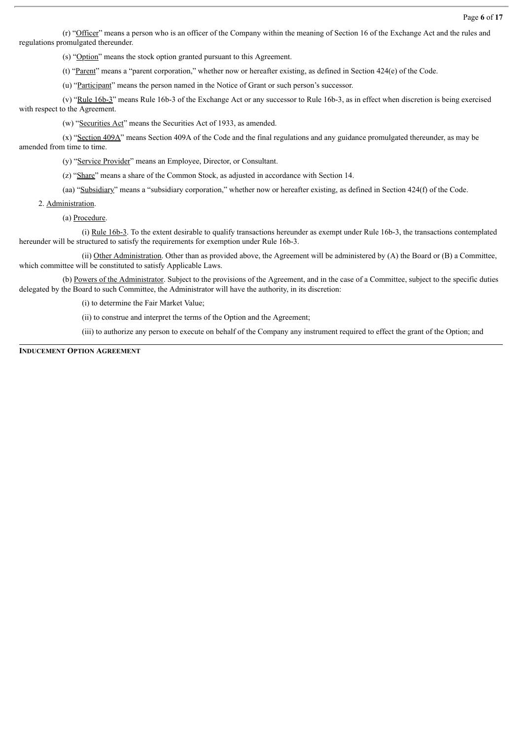(r) "Officer" means a person who is an officer of the Company within the meaning of Section 16 of the Exchange Act and the rules and regulations promulgated thereunder.

(s) "Option" means the stock option granted pursuant to this Agreement.

(t) "Parent" means a "parent corporation," whether now or hereafter existing, as defined in Section 424(e) of the Code.

(u) "Participant" means the person named in the Notice of Grant or such person's successor.

(v) "Rule  $16b-3$ " means Rule  $16b-3$  of the Exchange Act or any successor to Rule  $16b-3$ , as in effect when discretion is being exercised with respect to the Agreement.

(w) "Securities Act" means the Securities Act of 1933, as amended.

(x) "Section 409A" means Section 409A of the Code and the final regulations and any guidance promulgated thereunder, as may be amended from time to time.

(y) "Service Provider" means an Employee, Director, or Consultant.

(z) "Share" means a share of the Common Stock, as adjusted in accordance with Section 14.

(aa) "Subsidiary" means a "subsidiary corporation," whether now or hereafter existing, as defined in Section 424(f) of the Code.

2. Administration.

(a) Procedure.

(i) Rule 16b-3. To the extent desirable to qualify transactions hereunder as exempt under Rule 16b-3, the transactions contemplated hereunder will be structured to satisfy the requirements for exemption under Rule 16b-3.

(ii) Other Administration. Other than as provided above, the Agreement will be administered by (A) the Board or (B) a Committee, which committee will be constituted to satisfy Applicable Laws.

(b) Powers of the Administrator. Subject to the provisions of the Agreement, and in the case of a Committee, subject to the specific duties delegated by the Board to such Committee, the Administrator will have the authority, in its discretion:

(i) to determine the Fair Market Value;

(ii) to construe and interpret the terms of the Option and the Agreement;

(iii) to authorize any person to execute on behalf of the Company any instrument required to effect the grant of the Option; and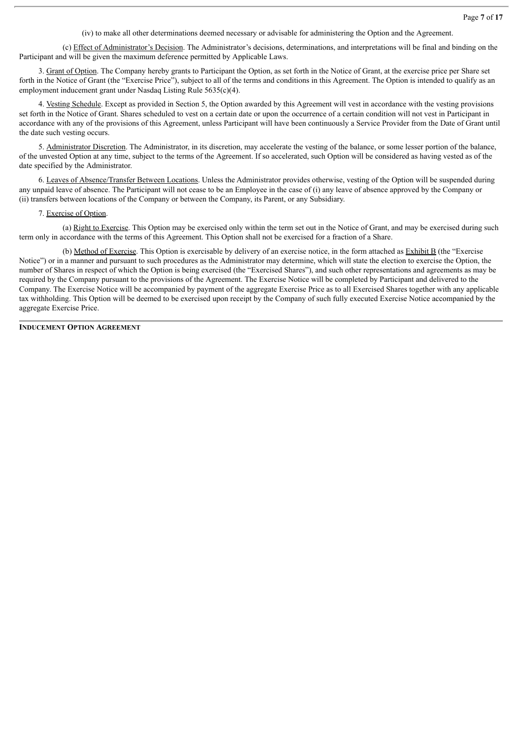(iv) to make all other determinations deemed necessary or advisable for administering the Option and the Agreement.

(c) Effect of Administrator's Decision. The Administrator's decisions, determinations, and interpretations will be final and binding on the Participant and will be given the maximum deference permitted by Applicable Laws.

3. Grant of Option. The Company hereby grants to Participant the Option, as set forth in the Notice of Grant, at the exercise price per Share set forth in the Notice of Grant (the "Exercise Price"), subject to all of the terms and conditions in this Agreement. The Option is intended to qualify as an employment inducement grant under Nasdaq Listing Rule 5635(c)(4).

4. Vesting Schedule. Except as provided in Section 5, the Option awarded by this Agreement will vest in accordance with the vesting provisions set forth in the Notice of Grant. Shares scheduled to vest on a certain date or upon the occurrence of a certain condition will not vest in Participant in accordance with any of the provisions of this Agreement, unless Participant will have been continuously a Service Provider from the Date of Grant until the date such vesting occurs.

5. Administrator Discretion. The Administrator, in its discretion, may accelerate the vesting of the balance, or some lesser portion of the balance, of the unvested Option at any time, subject to the terms of the Agreement. If so accelerated, such Option will be considered as having vested as of the date specified by the Administrator.

6. Leaves of Absence/Transfer Between Locations. Unless the Administrator provides otherwise, vesting of the Option will be suspended during any unpaid leave of absence. The Participant will not cease to be an Employee in the case of (i) any leave of absence approved by the Company or (ii) transfers between locations of the Company or between the Company, its Parent, or any Subsidiary.

#### 7. Exercise of Option.

(a) Right to Exercise. This Option may be exercised only within the term set out in the Notice of Grant, and may be exercised during such term only in accordance with the terms of this Agreement. This Option shall not be exercised for a fraction of a Share.

(b) Method of Exercise. This Option is exercisable by delivery of an exercise notice, in the form attached as Exhibit B (the "Exercise Notice") or in a manner and pursuant to such procedures as the Administrator may determine, which will state the election to exercise the Option, the number of Shares in respect of which the Option is being exercised (the "Exercised Shares"), and such other representations and agreements as may be required by the Company pursuant to the provisions of the Agreement. The Exercise Notice will be completed by Participant and delivered to the Company. The Exercise Notice will be accompanied by payment of the aggregate Exercise Price as to all Exercised Shares together with any applicable tax withholding. This Option will be deemed to be exercised upon receipt by the Company of such fully executed Exercise Notice accompanied by the aggregate Exercise Price.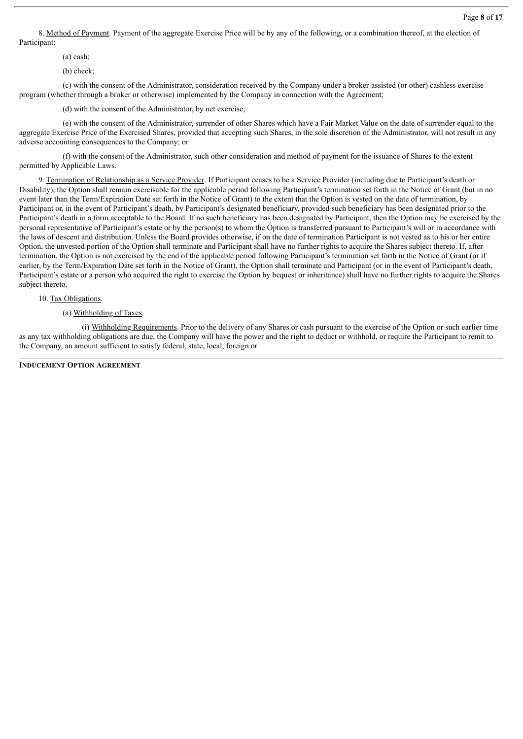8. Method of Payment. Payment of the aggregate Exercise Price will be by any of the following, or a combination thereof, at the election of Participant:

(a) cash;

(b) check;

(c) with the consent of the Administrator, consideration received by the Company under a broker-assisted (or other) cashless exercise program (whether through a broker or otherwise) implemented by the Company in connection with the Agreement;

(d) with the consent of the Administrator, by net exercise;

(e) with the consent of the Administrator, surrender of other Shares which have a Fair Market Value on the date of surrender equal to the aggregate Exercise Price of the Exercised Shares, provided that accepting such Shares, in the sole discretion of the Administrator, will not result in any adverse accounting consequences to the Company; or

(f) with the consent of the Administrator, such other consideration and method of payment for the issuance of Shares to the extent permitted by Applicable Laws.

9. Termination of Relationship as a Service Provider. If Participant ceases to be a Service Provider (including due to Participant's death or Disability), the Option shall remain exercisable for the applicable period following Participant's termination set forth in the Notice of Grant (but in no event later than the Term/Expiration Date set forth in the Notice of Grant) to the extent that the Option is vested on the date of termination, by Participant or, in the event of Participant's death, by Participant's designated beneficiary, provided such beneficiary has been designated prior to the Participant's death in a form acceptable to the Board. If no such beneficiary has been designated by Participant, then the Option may be exercised by the personal representative of Participant's estate or by the person(s) to whom the Option is transferred pursuant to Participant's will or in accordance with the laws of descent and distribution. Unless the Board provides otherwise, if on the date of termination Participant is not vested as to his or her entire Option, the unvested portion of the Option shall terminate and Participant shall have no further rights to acquire the Shares subject thereto. If, after termination, the Option is not exercised by the end of the applicable period following Participant's termination set forth in the Notice of Grant (or if earlier, by the Term/Expiration Date set forth in the Notice of Grant), the Option shall terminate and Participant (or in the event of Participant's death, Participant's estate or a person who acquired the right to exercise the Option by bequest or inheritance) shall have no further rights to acquire the Shares subject thereto.

10. Tax Obligations.

#### (a) Withholding of Taxes.

(i) Withholding Requirements. Prior to the delivery of any Shares or cash pursuant to the exercise of the Option or such earlier time as any tax withholding obligations are due, the Company will have the power and the right to deduct or withhold, or require the Participant to remit to the Company, an amount sufficient to satisfy federal, state, local, foreign or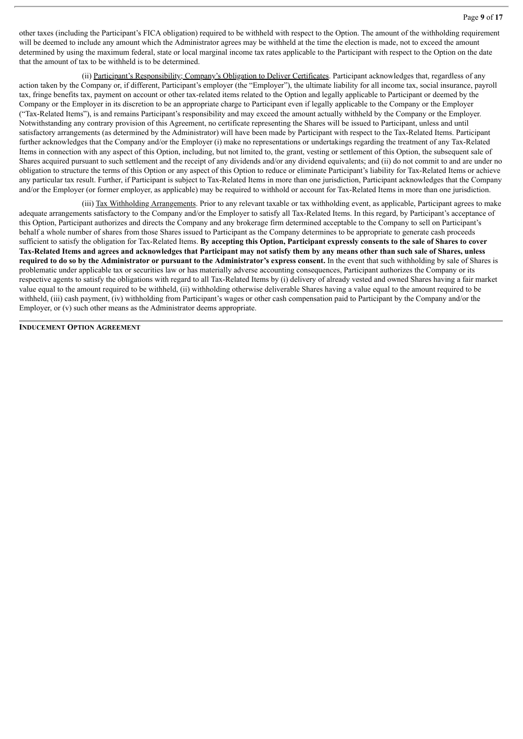other taxes (including the Participant's FICA obligation) required to be withheld with respect to the Option. The amount of the withholding requirement will be deemed to include any amount which the Administrator agrees may be withheld at the time the election is made, not to exceed the amount determined by using the maximum federal, state or local marginal income tax rates applicable to the Participant with respect to the Option on the date that the amount of tax to be withheld is to be determined.

(ii) Participant's Responsibility; Company's Obligation to Deliver Certificates. Participant acknowledges that, regardless of any action taken by the Company or, if different, Participant's employer (the "Employer"), the ultimate liability for all income tax, social insurance, payroll tax, fringe benefits tax, payment on account or other tax-related items related to the Option and legally applicable to Participant or deemed by the Company or the Employer in its discretion to be an appropriate charge to Participant even if legally applicable to the Company or the Employer ("Tax-Related Items"), is and remains Participant's responsibility and may exceed the amount actually withheld by the Company or the Employer. Notwithstanding any contrary provision of this Agreement, no certificate representing the Shares will be issued to Participant, unless and until satisfactory arrangements (as determined by the Administrator) will have been made by Participant with respect to the Tax-Related Items. Participant further acknowledges that the Company and/or the Employer (i) make no representations or undertakings regarding the treatment of any Tax-Related Items in connection with any aspect of this Option, including, but not limited to, the grant, vesting or settlement of this Option, the subsequent sale of Shares acquired pursuant to such settlement and the receipt of any dividends and/or any dividend equivalents; and (ii) do not commit to and are under no obligation to structure the terms of this Option or any aspect of this Option to reduce or eliminate Participant's liability for Tax-Related Items or achieve any particular tax result. Further, if Participant is subject to Tax-Related Items in more than one jurisdiction, Participant acknowledges that the Company and/or the Employer (or former employer, as applicable) may be required to withhold or account for Tax-Related Items in more than one jurisdiction.

(iii) Tax Withholding Arrangements. Prior to any relevant taxable or tax withholding event, as applicable, Participant agrees to make adequate arrangements satisfactory to the Company and/or the Employer to satisfy all Tax-Related Items. In this regard, by Participant's acceptance of this Option, Participant authorizes and directs the Company and any brokerage firm determined acceptable to the Company to sell on Participant's behalf a whole number of shares from those Shares issued to Participant as the Company determines to be appropriate to generate cash proceeds sufficient to satisfy the obligation for Tax-Related Items. By accepting this Option, Participant expressly consents to the sale of Shares to cover Tax-Related Items and agrees and acknowledges that Participant may not satisfy them by any means other than such sale of Shares, unless required to do so by the Administrator or pursuant to the Administrator's express consent. In the event that such withholding by sale of Shares is problematic under applicable tax or securities law or has materially adverse accounting consequences, Participant authorizes the Company or its respective agents to satisfy the obligations with regard to all Tax-Related Items by (i) delivery of already vested and owned Shares having a fair market value equal to the amount required to be withheld, (ii) withholding otherwise deliverable Shares having a value equal to the amount required to be withheld, (iii) cash payment, (iv) withholding from Participant's wages or other cash compensation paid to Participant by the Company and/or the Employer, or (v) such other means as the Administrator deems appropriate.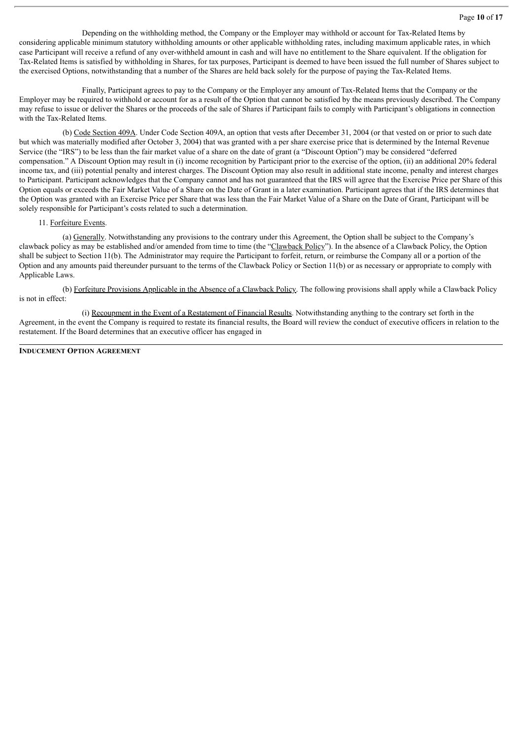Depending on the withholding method, the Company or the Employer may withhold or account for Tax-Related Items by considering applicable minimum statutory withholding amounts or other applicable withholding rates, including maximum applicable rates, in which case Participant will receive a refund of any over-withheld amount in cash and will have no entitlement to the Share equivalent. If the obligation for Tax-Related Items is satisfied by withholding in Shares, for tax purposes, Participant is deemed to have been issued the full number of Shares subject to the exercised Options, notwithstanding that a number of the Shares are held back solely for the purpose of paying the Tax-Related Items.

Finally, Participant agrees to pay to the Company or the Employer any amount of Tax-Related Items that the Company or the Employer may be required to withhold or account for as a result of the Option that cannot be satisfied by the means previously described. The Company may refuse to issue or deliver the Shares or the proceeds of the sale of Shares if Participant fails to comply with Participant's obligations in connection with the Tax-Related Items.

(b) Code Section 409A. Under Code Section 409A, an option that vests after December 31, 2004 (or that vested on or prior to such date but which was materially modified after October 3, 2004) that was granted with a per share exercise price that is determined by the Internal Revenue Service (the "IRS") to be less than the fair market value of a share on the date of grant (a "Discount Option") may be considered "deferred compensation." A Discount Option may result in (i) income recognition by Participant prior to the exercise of the option, (ii) an additional 20% federal income tax, and (iii) potential penalty and interest charges. The Discount Option may also result in additional state income, penalty and interest charges to Participant. Participant acknowledges that the Company cannot and has not guaranteed that the IRS will agree that the Exercise Price per Share of this Option equals or exceeds the Fair Market Value of a Share on the Date of Grant in a later examination. Participant agrees that if the IRS determines that the Option was granted with an Exercise Price per Share that was less than the Fair Market Value of a Share on the Date of Grant, Participant will be solely responsible for Participant's costs related to such a determination.

# 11. Forfeiture Events.

(a) Generally. Notwithstanding any provisions to the contrary under this Agreement, the Option shall be subject to the Company's clawback policy as may be established and/or amended from time to time (the "Clawback Policy"). In the absence of a Clawback Policy, the Option shall be subject to Section 11(b). The Administrator may require the Participant to forfeit, return, or reimburse the Company all or a portion of the Option and any amounts paid thereunder pursuant to the terms of the Clawback Policy or Section 11(b) or as necessary or appropriate to comply with Applicable Laws.

(b) Forfeiture Provisions Applicable in the Absence of a Clawback Policy. The following provisions shall apply while a Clawback Policy is not in effect:

(i) Recoupment in the Event of a Restatement of Financial Results. Notwithstanding anything to the contrary set forth in the Agreement, in the event the Company is required to restate its financial results, the Board will review the conduct of executive officers in relation to the restatement. If the Board determines that an executive officer has engaged in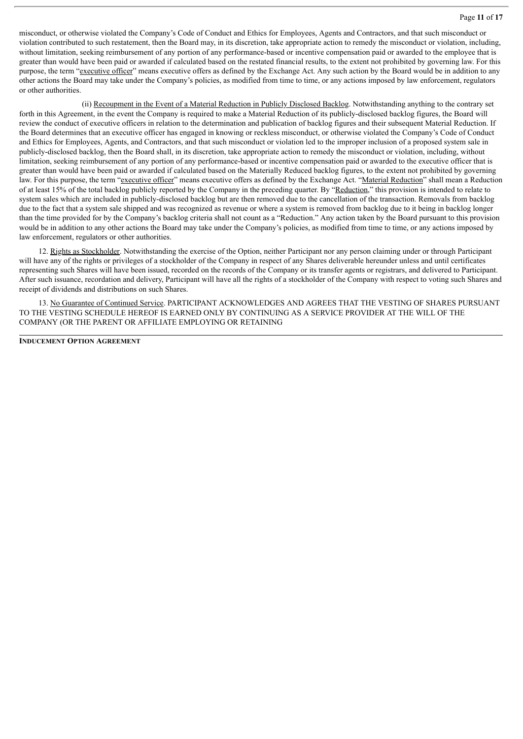misconduct, or otherwise violated the Company's Code of Conduct and Ethics for Employees, Agents and Contractors, and that such misconduct or violation contributed to such restatement, then the Board may, in its discretion, take appropriate action to remedy the misconduct or violation, including, without limitation, seeking reimbursement of any portion of any performance-based or incentive compensation paid or awarded to the employee that is greater than would have been paid or awarded if calculated based on the restated financial results, to the extent not prohibited by governing law. For this purpose, the term "executive officer" means executive offers as defined by the Exchange Act. Any such action by the Board would be in addition to any other actions the Board may take under the Company's policies, as modified from time to time, or any actions imposed by law enforcement, regulators or other authorities.

(ii) Recoupment in the Event of a Material Reduction in Publicly Disclosed Backlog. Notwithstanding anything to the contrary set forth in this Agreement, in the event the Company is required to make a Material Reduction of its publicly-disclosed backlog figures, the Board will review the conduct of executive officers in relation to the determination and publication of backlog figures and their subsequent Material Reduction. If the Board determines that an executive officer has engaged in knowing or reckless misconduct, or otherwise violated the Company's Code of Conduct and Ethics for Employees, Agents, and Contractors, and that such misconduct or violation led to the improper inclusion of a proposed system sale in publicly-disclosed backlog, then the Board shall, in its discretion, take appropriate action to remedy the misconduct or violation, including, without limitation, seeking reimbursement of any portion of any performance-based or incentive compensation paid or awarded to the executive officer that is greater than would have been paid or awarded if calculated based on the Materially Reduced backlog figures, to the extent not prohibited by governing law. For this purpose, the term "executive officer" means executive offers as defined by the Exchange Act. "Material Reduction" shall mean a Reduction of at least 15% of the total backlog publicly reported by the Company in the preceding quarter. By "Reduction," this provision is intended to relate to system sales which are included in publicly-disclosed backlog but are then removed due to the cancellation of the transaction. Removals from backlog due to the fact that a system sale shipped and was recognized as revenue or where a system is removed from backlog due to it being in backlog longer than the time provided for by the Company's backlog criteria shall not count as a "Reduction." Any action taken by the Board pursuant to this provision would be in addition to any other actions the Board may take under the Company's policies, as modified from time to time, or any actions imposed by law enforcement, regulators or other authorities.

12. Rights as Stockholder. Notwithstanding the exercise of the Option, neither Participant nor any person claiming under or through Participant will have any of the rights or privileges of a stockholder of the Company in respect of any Shares deliverable hereunder unless and until certificates representing such Shares will have been issued, recorded on the records of the Company or its transfer agents or registrars, and delivered to Participant. After such issuance, recordation and delivery, Participant will have all the rights of a stockholder of the Company with respect to voting such Shares and receipt of dividends and distributions on such Shares.

13. No Guarantee of Continued Service. PARTICIPANT ACKNOWLEDGES AND AGREES THAT THE VESTING OF SHARES PURSUANT TO THE VESTING SCHEDULE HEREOF IS EARNED ONLY BY CONTINUING AS A SERVICE PROVIDER AT THE WILL OF THE COMPANY (OR THE PARENT OR AFFILIATE EMPLOYING OR RETAINING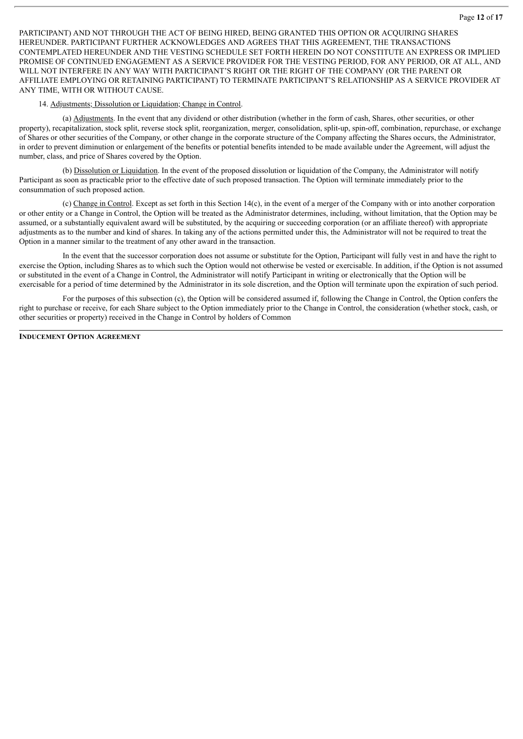PARTICIPANT) AND NOT THROUGH THE ACT OF BEING HIRED, BEING GRANTED THIS OPTION OR ACQUIRING SHARES HEREUNDER. PARTICIPANT FURTHER ACKNOWLEDGES AND AGREES THAT THIS AGREEMENT, THE TRANSACTIONS CONTEMPLATED HEREUNDER AND THE VESTING SCHEDULE SET FORTH HEREIN DO NOT CONSTITUTE AN EXPRESS OR IMPLIED PROMISE OF CONTINUED ENGAGEMENT AS A SERVICE PROVIDER FOR THE VESTING PERIOD, FOR ANY PERIOD, OR AT ALL, AND WILL NOT INTERFERE IN ANY WAY WITH PARTICIPANT'S RIGHT OR THE RIGHT OF THE COMPANY (OR THE PARENT OR AFFILIATE EMPLOYING OR RETAINING PARTICIPANT) TO TERMINATE PARTICIPANT'S RELATIONSHIP AS A SERVICE PROVIDER AT ANY TIME, WITH OR WITHOUT CAUSE.

#### 14. Adjustments; Dissolution or Liquidation; Change in Control.

(a) Adjustments. In the event that any dividend or other distribution (whether in the form of cash, Shares, other securities, or other property), recapitalization, stock split, reverse stock split, reorganization, merger, consolidation, split-up, spin-off, combination, repurchase, or exchange of Shares or other securities of the Company, or other change in the corporate structure of the Company affecting the Shares occurs, the Administrator, in order to prevent diminution or enlargement of the benefits or potential benefits intended to be made available under the Agreement, will adjust the number, class, and price of Shares covered by the Option.

(b) Dissolution or Liquidation. In the event of the proposed dissolution or liquidation of the Company, the Administrator will notify Participant as soon as practicable prior to the effective date of such proposed transaction. The Option will terminate immediately prior to the consummation of such proposed action.

(c) Change in Control. Except as set forth in this Section 14(c), in the event of a merger of the Company with or into another corporation or other entity or a Change in Control, the Option will be treated as the Administrator determines, including, without limitation, that the Option may be assumed, or a substantially equivalent award will be substituted, by the acquiring or succeeding corporation (or an affiliate thereof) with appropriate adjustments as to the number and kind of shares. In taking any of the actions permitted under this, the Administrator will not be required to treat the Option in a manner similar to the treatment of any other award in the transaction.

In the event that the successor corporation does not assume or substitute for the Option, Participant will fully vest in and have the right to exercise the Option, including Shares as to which such the Option would not otherwise be vested or exercisable. In addition, if the Option is not assumed or substituted in the event of a Change in Control, the Administrator will notify Participant in writing or electronically that the Option will be exercisable for a period of time determined by the Administrator in its sole discretion, and the Option will terminate upon the expiration of such period.

For the purposes of this subsection (c), the Option will be considered assumed if, following the Change in Control, the Option confers the right to purchase or receive, for each Share subject to the Option immediately prior to the Change in Control, the consideration (whether stock, cash, or other securities or property) received in the Change in Control by holders of Common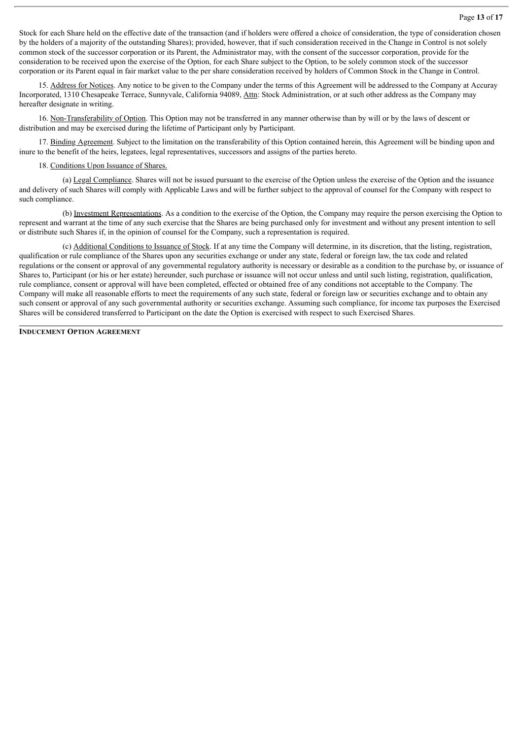Stock for each Share held on the effective date of the transaction (and if holders were offered a choice of consideration, the type of consideration chosen by the holders of a majority of the outstanding Shares); provided, however, that if such consideration received in the Change in Control is not solely common stock of the successor corporation or its Parent, the Administrator may, with the consent of the successor corporation, provide for the consideration to be received upon the exercise of the Option, for each Share subject to the Option, to be solely common stock of the successor corporation or its Parent equal in fair market value to the per share consideration received by holders of Common Stock in the Change in Control.

15. Address for Notices. Any notice to be given to the Company under the terms of this Agreement will be addressed to the Company at Accuray Incorporated, 1310 Chesapeake Terrace, Sunnyvale, California 94089, Attn: Stock Administration, or at such other address as the Company may hereafter designate in writing.

16. Non-Transferability of Option. This Option may not be transferred in any manner otherwise than by will or by the laws of descent or distribution and may be exercised during the lifetime of Participant only by Participant.

17. Binding Agreement. Subject to the limitation on the transferability of this Option contained herein, this Agreement will be binding upon and inure to the benefit of the heirs, legatees, legal representatives, successors and assigns of the parties hereto.

#### 18. Conditions Upon Issuance of Shares.

(a) Legal Compliance. Shares will not be issued pursuant to the exercise of the Option unless the exercise of the Option and the issuance and delivery of such Shares will comply with Applicable Laws and will be further subject to the approval of counsel for the Company with respect to such compliance.

(b) Investment Representations. As a condition to the exercise of the Option, the Company may require the person exercising the Option to represent and warrant at the time of any such exercise that the Shares are being purchased only for investment and without any present intention to sell or distribute such Shares if, in the opinion of counsel for the Company, such a representation is required.

(c) Additional Conditions to Issuance of Stock. If at any time the Company will determine, in its discretion, that the listing, registration, qualification or rule compliance of the Shares upon any securities exchange or under any state, federal or foreign law, the tax code and related regulations or the consent or approval of any governmental regulatory authority is necessary or desirable as a condition to the purchase by, or issuance of Shares to, Participant (or his or her estate) hereunder, such purchase or issuance will not occur unless and until such listing, registration, qualification, rule compliance, consent or approval will have been completed, effected or obtained free of any conditions not acceptable to the Company. The Company will make all reasonable efforts to meet the requirements of any such state, federal or foreign law or securities exchange and to obtain any such consent or approval of any such governmental authority or securities exchange. Assuming such compliance, for income tax purposes the Exercised Shares will be considered transferred to Participant on the date the Option is exercised with respect to such Exercised Shares.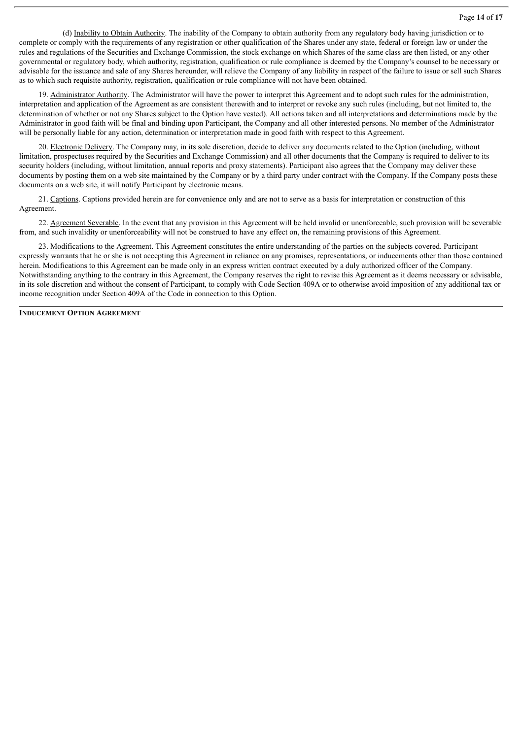#### Page **14** of **17**

(d) Inability to Obtain Authority. The inability of the Company to obtain authority from any regulatory body having jurisdiction or to complete or comply with the requirements of any registration or other qualification of the Shares under any state, federal or foreign law or under the rules and regulations of the Securities and Exchange Commission, the stock exchange on which Shares of the same class are then listed, or any other governmental or regulatory body, which authority, registration, qualification or rule compliance is deemed by the Company's counsel to be necessary or advisable for the issuance and sale of any Shares hereunder, will relieve the Company of any liability in respect of the failure to issue or sell such Shares as to which such requisite authority, registration, qualification or rule compliance will not have been obtained.

19. Administrator Authority. The Administrator will have the power to interpret this Agreement and to adopt such rules for the administration, interpretation and application of the Agreement as are consistent therewith and to interpret or revoke any such rules (including, but not limited to, the determination of whether or not any Shares subject to the Option have vested). All actions taken and all interpretations and determinations made by the Administrator in good faith will be final and binding upon Participant, the Company and all other interested persons. No member of the Administrator will be personally liable for any action, determination or interpretation made in good faith with respect to this Agreement.

20. Electronic Delivery. The Company may, in its sole discretion, decide to deliver any documents related to the Option (including, without limitation, prospectuses required by the Securities and Exchange Commission) and all other documents that the Company is required to deliver to its security holders (including, without limitation, annual reports and proxy statements). Participant also agrees that the Company may deliver these documents by posting them on a web site maintained by the Company or by a third party under contract with the Company. If the Company posts these documents on a web site, it will notify Participant by electronic means.

21. Captions. Captions provided herein are for convenience only and are not to serve as a basis for interpretation or construction of this Agreement.

22. Agreement Severable. In the event that any provision in this Agreement will be held invalid or unenforceable, such provision will be severable from, and such invalidity or unenforceability will not be construed to have any effect on, the remaining provisions of this Agreement.

23. Modifications to the Agreement. This Agreement constitutes the entire understanding of the parties on the subjects covered. Participant expressly warrants that he or she is not accepting this Agreement in reliance on any promises, representations, or inducements other than those contained herein. Modifications to this Agreement can be made only in an express written contract executed by a duly authorized officer of the Company. Notwithstanding anything to the contrary in this Agreement, the Company reserves the right to revise this Agreement as it deems necessary or advisable, in its sole discretion and without the consent of Participant, to comply with Code Section 409A or to otherwise avoid imposition of any additional tax or income recognition under Section 409A of the Code in connection to this Option.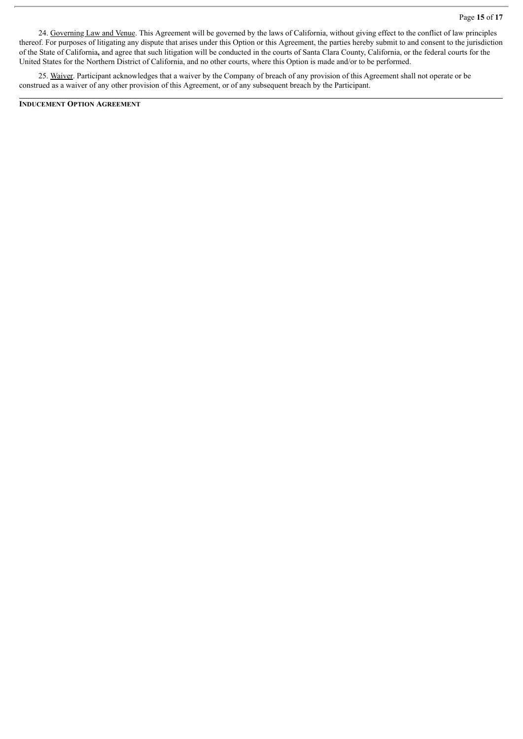24. Governing Law and Venue. This Agreement will be governed by the laws of California, without giving effect to the conflict of law principles thereof. For purposes of litigating any dispute that arises under this Option or this Agreement, the parties hereby submit to and consent to the jurisdiction of the State of California**,** and agree that such litigation will be conducted in the courts of Santa Clara County, California, or the federal courts for the United States for the Northern District of California, and no other courts, where this Option is made and/or to be performed.

25. Waiver. Participant acknowledges that a waiver by the Company of breach of any provision of this Agreement shall not operate or be construed as a waiver of any other provision of this Agreement, or of any subsequent breach by the Participant.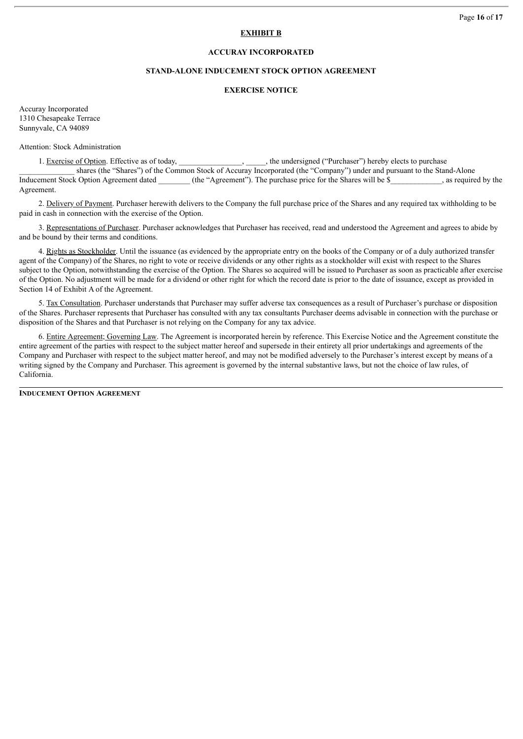# **EXHIBIT B**

# **ACCURAY INCORPORATED**

#### **STAND-ALONE INDUCEMENT STOCK OPTION AGREEMENT**

#### **EXERCISE NOTICE**

Accuray Incorporated 1310 Chesapeake Terrace Sunnyvale, CA 94089

Attention: Stock Administration

1. Exercise of Option. Effective as of today, \_\_\_\_\_\_\_\_\_\_\_\_\_\_, \_\_\_\_\_, the undersigned ("Purchaser") hereby elects to purchase

shares (the "Shares") of the Common Stock of Accuray Incorporated (the "Company") under and pursuant to the Stand-Alone Inducement Stock Option Agreement dated (the "Agreement"). The purchase price for the Shares will be \$ \_\_\_\_\_\_, as required by the Agreement.

2. Delivery of Payment. Purchaser herewith delivers to the Company the full purchase price of the Shares and any required tax withholding to be paid in cash in connection with the exercise of the Option.

3. Representations of Purchaser. Purchaser acknowledges that Purchaser has received, read and understood the Agreement and agrees to abide by and be bound by their terms and conditions.

4. Rights as Stockholder. Until the issuance (as evidenced by the appropriate entry on the books of the Company or of a duly authorized transfer agent of the Company) of the Shares, no right to vote or receive dividends or any other rights as a stockholder will exist with respect to the Shares subject to the Option, notwithstanding the exercise of the Option. The Shares so acquired will be issued to Purchaser as soon as practicable after exercise of the Option. No adjustment will be made for a dividend or other right for which the record date is prior to the date of issuance, except as provided in Section 14 of Exhibit A of the Agreement.

5. Tax Consultation. Purchaser understands that Purchaser may suffer adverse tax consequences as a result of Purchaser's purchase or disposition of the Shares. Purchaser represents that Purchaser has consulted with any tax consultants Purchaser deems advisable in connection with the purchase or disposition of the Shares and that Purchaser is not relying on the Company for any tax advice.

6. Entire Agreement; Governing Law. The Agreement is incorporated herein by reference. This Exercise Notice and the Agreement constitute the entire agreement of the parties with respect to the subject matter hereof and supersede in their entirety all prior undertakings and agreements of the Company and Purchaser with respect to the subject matter hereof, and may not be modified adversely to the Purchaser's interest except by means of a writing signed by the Company and Purchaser. This agreement is governed by the internal substantive laws, but not the choice of law rules, of California.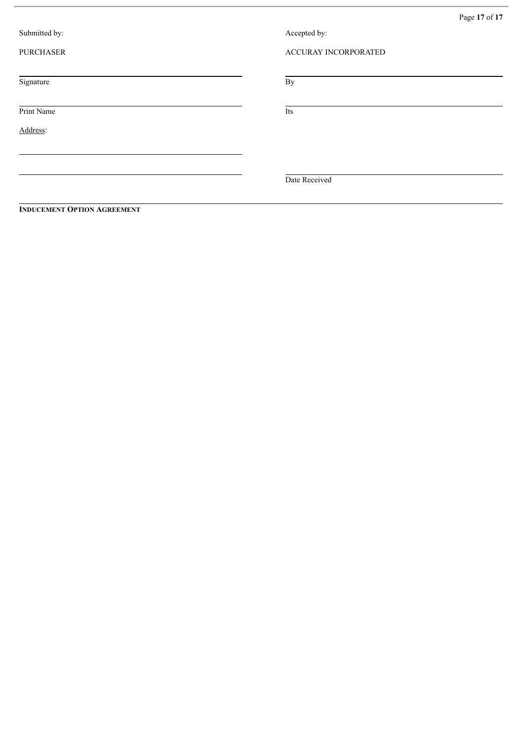| Page 17 of 17 |  |  |  |
|---------------|--|--|--|
|---------------|--|--|--|

| Submitted by:    | Accepted by:         |
|------------------|----------------------|
| <b>PURCHASER</b> | ACCURAY INCORPORATED |
| Signature        | By                   |
| Print Name       | Its                  |
| Address:         |                      |
|                  |                      |
|                  | Date Received        |
|                  |                      |